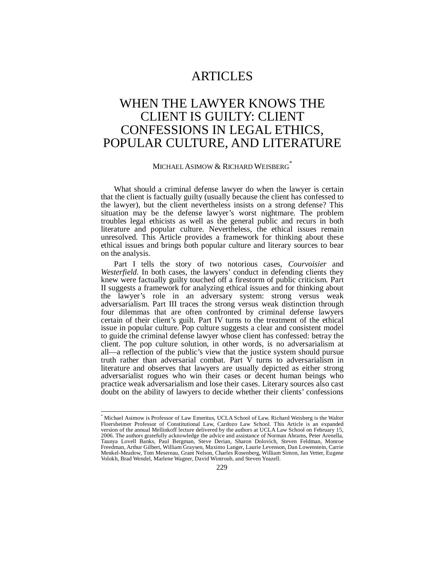# **ARTICLES**

# WHEN THE LAWYER KNOWS THE CLIENT IS GUILTY: CLIENT CONFESSIONS IN LEGAL ETHICS, POPULAR CULTURE, AND LITERATURE

# MICHAEL ASIMOW & RICHARD WEISBERG<sup>®</sup>

What should a criminal defense lawyer do when the lawyer is certain that the client is factually guilty (usually because the client has confessed to the lawyer), but the client nevertheless insists on a strong defense? This situation may be the defense lawyer's worst nightmare. The problem troubles legal ethicists as well as the general public and recurs in both literature and popular culture. Nevertheless, the ethical issues remain unresolved. This Article provides a framework for thinking about these ethical issues and brings both popular culture and literary sources to bear on the analysis.

Part I tells the story of two notorious cases, *Courvoisier* and *Westerfield.* In both cases, the lawyers' conduct in defending clients they knew were factually guilty touched off a firestorm of public criticism. Part II suggests a framework for analyzing ethical issues and for thinking about the lawyer's role in an adversary system: strong versus weak adversarialism. Part III traces the strong versus weak distinction through four dilemmas that are often confronted by criminal defense lawyers certain of their client's guilt. Part IV turns to the treatment of the ethical issue in popular culture. Pop culture suggests a clear and consistent model to guide the criminal defense lawyer whose client has confessed: betray the client. The pop culture solution, in other words, is no adversarialism at all—a reflection of the public's view that the justice system should pursue truth rather than adversarial combat. Part  $\check{V}$  turns to adversarialism in literature and observes that lawyers are usually depicted as either strong adversarialist rogues who win their cases or decent human beings who practice weak adversarialism and lose their cases. Literary sources also cast doubt on the ability of lawyers to decide whether their clients' confessions

<sup>\*</sup> Michael Asimow is Professor of Law Emeritus, UCLA School of Law. Richard Weisberg is the Walter Floersheimer Professor of Constitutional Law, Cardozo Law School. This Article is an expanded version of the annual Mellinkoff lecture delivered by the authors at UCLA Law School on February 15, 2006. The authors gratefully acknowledge the advice and assistance of Norman Abrams, Peter Arenella, Taunya Lovell Banks, Paul Bergman, Steve Derian, Sharon Dolovich, Steven Feldman, Monroe Freedman, Arthur Gilbert, William Graysen, Maximo Langer, Laurie Levenson, Dan Lowenstein, Carrie Menkel-Meadow, Tom Mesereau, Grant Nelson, Charles Rosenberg, William Simon, Jan Vetter, Eugene Volokh, Brad Wendel, Marlene Wagner, David Wintroub, and Steven Yeazell.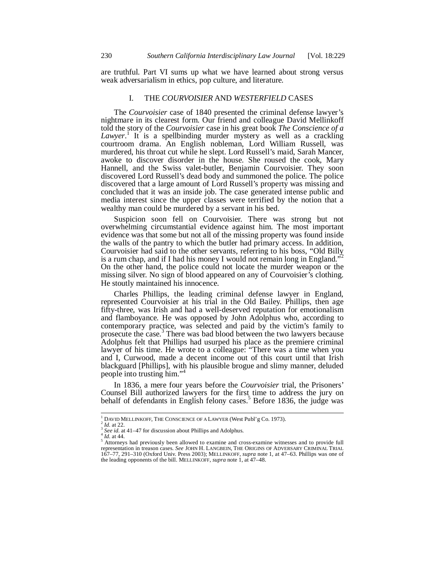are truthful. Part VI sums up what we have learned about strong versus weak adversarialism in ethics, pop culture, and literature.

#### I. THE *COURVOISIER* AND *WESTERFIELD* CASES

The *Courvoisier* case of 1840 presented the criminal defense lawyer's nightmare in its clearest form. Our friend and colleague David Mellinkoff told the story of the *Courvoisier* case in his great book *The Conscience of a*  Lawyer.<sup>1</sup> It is a spellbinding murder mystery as well as a crackling courtroom drama. An English nobleman, Lord William Russell, was murdered, his throat cut while he slept. Lord Russell's maid, Sarah Mancer, awoke to discover disorder in the house. She roused the cook, Mary Hannell, and the Swiss valet-butler, Benjamin Courvoisier. They soon discovered Lord Russell's dead body and summoned the police. The police discovered that a large amount of Lord Russell's property was missing and concluded that it was an inside job. The case generated intense public and media interest since the upper classes were terrified by the notion that a wealthy man could be murdered by a servant in his bed.

Suspicion soon fell on Courvoisier. There was strong but not overwhelming circumstantial evidence against him. The most important evidence was that some but not all of the missing property was found inside the walls of the pantry to which the butler had primary access. In addition, Courvoisier had said to the other servants, referring to his boss, "Old Billy is a rum chap, and if I had his money I would not remain long in England."<sup>2</sup> On the other hand, the police could not locate the murder weapon or the missing silver. No sign of blood appeared on any of Courvoisier's clothing. He stoutly maintained his innocence.

Charles Phillips, the leading criminal defense lawyer in England, represented Courvoisier at his trial in the Old Bailey. Phillips, then age fifty-three, was Irish and had a well-deserved reputation for emotionalism and flamboyance. He was opposed by John Adolphus who, according to contemporary practice, was selected and paid by the victim's family to prosecute the case.<sup>3</sup> There was bad blood between the two lawyers because Adolphus felt that Phillips had usurped his place as the premiere criminal lawyer of his time. He wrote to a colleague: "There was a time when you and I, Curwood, made a decent income out of this court until that Irish blackguard [Phillips], with his plausible brogue and slimy manner, deluded people into trusting him."<sup>4</sup>

In 1836, a mere four years before the *Courvoisier* trial, the Prisoners' Counsel Bill authorized lawyers for the first time to address the jury on behalf of defendants in English felony cases.<sup>5</sup> Before 1836, the judge was

<sup>&</sup>lt;sup>1</sup> DAVID MELLINKOFF, THE CONSCIENCE OF A LAWYER (West Publ'g Co. 1973).<br><sup>3</sup> *Id.* at 22.<br><sup>4</sup> *See id.* at 41–47 for discussion about Phillips and Adolphus.<br><sup>5</sup> *Al.* at 44. 5 *A*: at 44.

A to the contract of the contract of the providence of the contract of the state of the state of the state of the state of the state of the state of the state of the state of the state of the state of the state of the stat representation in treason cases. *See* JOHN H. LANGBEIN, THE ORIGINS OF ADVERSARY CRIMINAL TRIAL 167–77, 291–310 (Oxford Univ. Press 2003); MELLINKOFF, *supra* note 1, at 47–63. Phillips was one of the leading opponents of the bill. MELLINKOFF, *supra* note 1, at 47–48.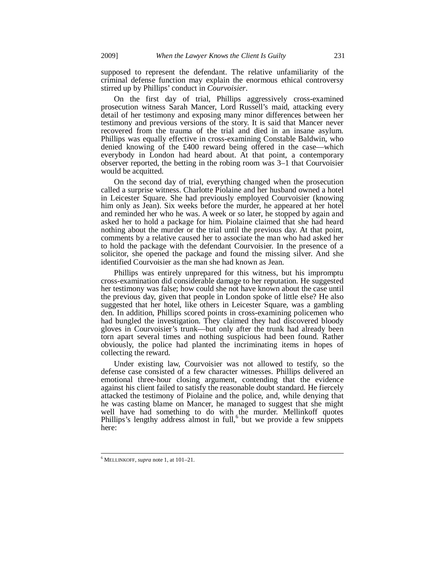supposed to represent the defendant. The relative unfamiliarity of the criminal defense function may explain the enormous ethical controversy stirred up by Phillips' conduct in *Courvoisier*.

On the first day of trial, Phillips aggressively cross-examined prosecution witness Sarah Mancer, Lord Russell's maid, attacking every detail of her testimony and exposing many minor differences between her testimony and previous versions of the story. It is said that Mancer never recovered from the trauma of the trial and died in an insane asylum. Phillips was equally effective in cross-examining Constable Baldwin, who denied knowing of the £400 reward being offered in the case—which everybody in London had heard about. At that point, a contemporary observer reported, the betting in the robing room was 3–1 that Courvoisier would be acquitted.

On the second day of trial, everything changed when the prosecution called a surprise witness. Charlotte Piolaine and her husband owned a hotel in Leicester Square. She had previously employed Courvoisier (knowing him only as Jean). Six weeks before the murder, he appeared at her hotel and reminded her who he was. A week or so later, he stopped by again and asked her to hold a package for him. Piolaine claimed that she had heard nothing about the murder or the trial until the previous day. At that point, comments by a relative caused her to associate the man who had asked her to hold the package with the defendant Courvoisier. In the presence of a solicitor, she opened the package and found the missing silver. And she identified Courvoisier as the man she had known as Jean.

Phillips was entirely unprepared for this witness, but his impromptu cross-examination did considerable damage to her reputation. He suggested her testimony was false; how could she not have known about the case until the previous day, given that people in London spoke of little else? He also suggested that her hotel, like others in Leicester Square, was a gambling den. In addition, Phillips scored points in cross-examining policemen who had bungled the investigation. They claimed they had discovered bloody gloves in Courvoisier's trunk—but only after the trunk had already been torn apart several times and nothing suspicious had been found. Rather obviously, the police had planted the incriminating items in hopes of collecting the reward.

Under existing law, Courvoisier was not allowed to testify, so the defense case consisted of a few character witnesses. Phillips delivered an emotional three-hour closing argument, contending that the evidence against his client failed to satisfy the reasonable doubt standard. He fiercely attacked the testimony of Piolaine and the police, and, while denying that he was casting blame on Mancer, he managed to suggest that she might well have had something to do with the murder. Mellinkoff quotes Phillips's lengthy address almost in full,<sup>6</sup> but we provide a few snippets here:

 6 MELLINKOFF, *supra* note 1, at 101–21.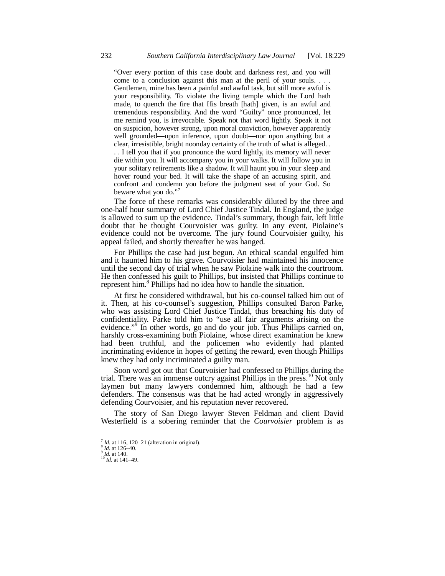"Over every portion of this case doubt and darkness rest, and you will come to a conclusion against this man at the peril of your souls. . . . Gentlemen, mine has been a painful and awful task, but still more awful is your responsibility. To violate the living temple which the Lord hath made, to quench the fire that His breath [hath] given, is an awful and tremendous responsibility. And the word "Guilty" once pronounced, let me remind you, is irrevocable. Speak not that word lightly. Speak it not on suspicion, however strong, upon moral conviction, however apparently well grounded—upon inference, upon doubt—nor upon anything but a clear, irresistible, bright noonday certainty of the truth of what is alleged. . . . I tell you that if you pronounce the word lightly, its memory will never die within you. It will accompany you in your walks. It will follow you in your solitary retirements like a shadow. It will haunt you in your sleep and hover round your bed. It will take the shape of an accusing spirit, and confront and condemn you before the judgment seat of your God. So beware what you do."<sup>7</sup>

The force of these remarks was considerably diluted by the three and one-half hour summary of Lord Chief Justice Tindal. In England, the judge is allowed to sum up the evidence. Tindal's summary, though fair, left little doubt that he thought Courvoisier was guilty. In any event, Piolaine's evidence could not be overcome. The jury found Courvoisier guilty, his appeal failed, and shortly thereafter he was hanged.

For Phillips the case had just begun. An ethical scandal engulfed him and it haunted him to his grave. Courvoisier had maintained his innocence until the second day of trial when he saw Piolaine walk into the courtroom. He then confessed his guilt to Phillips, but insisted that Phillips continue to represent him.<sup>8</sup> Phillips had no idea how to handle the situation.

At first he considered withdrawal, but his co-counsel talked him out of it. Then, at his co-counsel's suggestion, Phillips consulted Baron Parke, who was assisting Lord Chief Justice Tindal, thus breaching his duty of confidentiality. Parke told him to "use all fair arguments arising on the evidence."<sup>9</sup> In other words, go and do your job. Thus Phillips carried on, harshly cross-examining both Piolaine, whose direct examination he knew had been truthful, and the policemen who evidently had planted incriminating evidence in hopes of getting the reward, even though Phillips knew they had only incriminated a guilty man.

Soon word got out that Courvoisier had confessed to Phillips during the trial. There was an immense outcry against Phillips in the press.<sup>10</sup> Not only laymen but many lawyers condemned him, although he had a few defenders. The consensus was that he had acted wrongly in aggressively defending Courvoisier, and his reputation never recovered.

The story of San Diego lawyer Steven Feldman and client David Westerfield is a sobering reminder that the *Courvoisier* problem is as

<sup>7</sup> *Id.* at 116, 120–21 (alteration in original). 8 *Id.* at 126–40. 9 *Id.* at 140. 10 *Id.* at 141–49.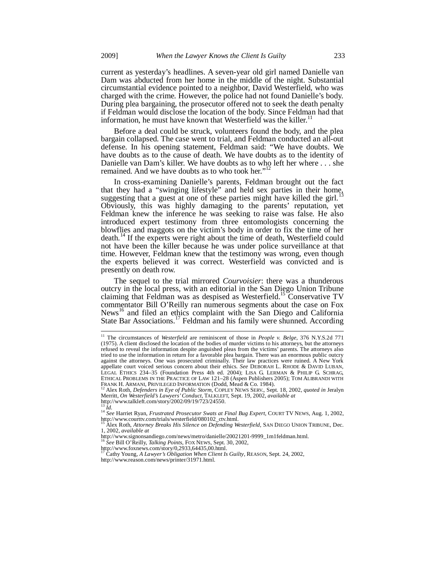current as yesterday's headlines. A seven-year old girl named Danielle van Dam was abducted from her home in the middle of the night. Substantial circumstantial evidence pointed to a neighbor, David Westerfield, who was charged with the crime. However, the police had not found Danielle's body. During plea bargaining, the prosecutor offered not to seek the death penalty if Feldman would disclose the location of the body. Since Feldman had that information, he must have known that Westerfield was the killer.<sup>11</sup>

Before a deal could be struck, volunteers found the body, and the plea bargain collapsed. The case went to trial, and Feldman conducted an all-out defense. In his opening statement, Feldman said: "We have doubts. We have doubts as to the cause of death. We have doubts as to the identity of Danielle van Dam's killer. We have doubts as to who left her where . . . she remained. And we have doubts as to who took her."<sup>12</sup>

In cross-examining Danielle's parents, Feldman brought out the fact that they had a "swinging lifestyle" and held sex parties in their home, suggesting that a guest at one of these parties might have killed the girl.<sup>13</sup> Obviously, this was highly damaging to the parents' reputation, yet Feldman knew the inference he was seeking to raise was false. He also introduced expert testimony from three entomologists concerning the blowflies and maggots on the victim's body in order to fix the time of her death.14 If the experts were right about the time of death, Westerfield could not have been the killer because he was under police surveillance at that time. However, Feldman knew that the testimony was wrong, even though the experts believed it was correct. Westerfield was convicted and is presently on death row.

The sequel to the trial mirrored *Courvoisier*: there was a thunderous outcry in the local press, with an editorial in the San Diego Union Tribune claiming that Feldman was as despised as Westerfield.<sup>15</sup> Conservative TV commentator Bill O'Reilly ran numerous segments about the case on Fox News<sup>16</sup> and filed an ethics complaint with the San Diego and California State Bar Associations.<sup>17</sup> Feldman and his family were shunned. According

<sup>&</sup>lt;sup>11</sup> The circumstances of *Westerfield* are reminiscent of those in *People v. Belge*, 376 N.Y.S.2d 771 (1975). A client disclosed the location of the bodies of murder victims to his attorneys, but the attorneys refused to reveal the information despite anguished pleas from the victims' parents. The attorneys also tried to use the information in return for a favorable plea bargain. There was an enormous public outcry against the attorneys. One was prosecuted criminally. Their law practices were ruined. A New York appellate court voiced serious concern about their ethics. *See* DEBORAH L. RHODE & DAVID LUBAN, LEGAL ETHICS 234–35 (Foundation Press 4th ed. 2004); LISA G. LERMAN & PHILIP G. SCHRAG, ETHICAL PROBLEMS IN THE PRACTICE OF LAW 121–28 (Aspen Publishers 2005); TOM ALIBRANDI WITH<br>FRANK H. ARMANI, PRIVILEGED INFORMATION (Dodd, Mead & Co. 1984).

FRANK H. ARMANI, PRIVILEGED INFORMATION (Dodd, Mead & Co. 1984).<br><sup>12</sup> Alex Roth, *Defenders in Eye of Public Storm*, COPLEY NEWS SERV., Sept. 18, 2002, *quoted in* Jeralyn<br>Merritt, *On Westerfield's Lawyers' Conduct*, TALK http://www.talkleft.com/story/2002/09/19/723/24550.

<sup>13</sup> *Id.* <sup>14</sup> *See* Harriet Ryan, *Frustrated Prosecutor Swats at Final Bug Expert*, COURT TV NEWS, Aug. 1, 2002, http://www.courttv.com/trials/westerfield/080102\_ctv.html.

<sup>15</sup> Alex Roth, *Attorney Breaks His Silence on Defending Westerfield*, SAN DIEGO UNION TRIBUNE, Dec. 1, 2002, *available at* 

http://www.signonsandiego.com/news/metro/danielle/20021201-9999\_1m1feldman.html.<br><sup>16</sup> See Bill O'Reilly, *Talking Points*, FOX NEWS, Sept. 30, 2002,<br>http://www.foxnews.com/story/0,2933,64435,00.html.<br><sup>17</sup> Cathy Young, *A L* 

http://www.reason.com/news/printer/31971.html.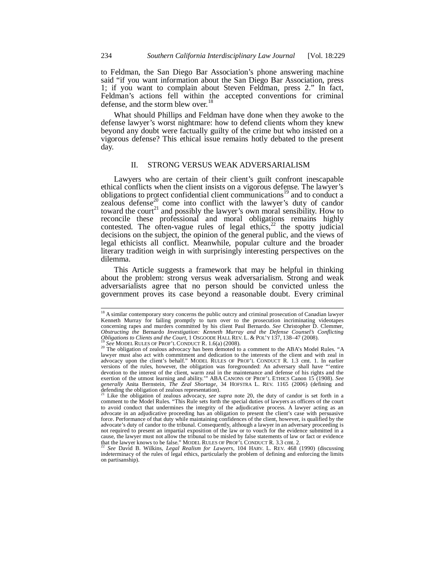to Feldman, the San Diego Bar Association's phone answering machine said "if you want information about the San Diego Bar Association, press 1; if you want to complain about Steven Feldman, press 2." In fact, Feldman's actions fell within the accepted conventions for criminal defense, and the storm blew over.<sup>18</sup>

What should Phillips and Feldman have done when they awoke to the defense lawyer's worst nightmare: how to defend clients whom they knew beyond any doubt were factually guilty of the crime but who insisted on a vigorous defense? This ethical issue remains hotly debated to the present day.

## II. STRONG VERSUS WEAK ADVERSARIALISM

Lawyers who are certain of their client's guilt confront inescapable ethical conflicts when the client insists on a vigorous defense. The lawyer's obligations to protect confidential client communications<sup>19</sup> and to conduct a zealous defense<sup>20</sup> come into conflict with the lawyer's duty of candor toward the court<sup>21</sup> and possibly the lawyer's own moral sensibility. How to reconcile these professional and moral obligations remains highly contested. The often-vague rules of legal ethics,<sup>22</sup> the spotty judicial decisions on the subject, the opinion of the general public, and the views of legal ethicists all conflict. Meanwhile, popular culture and the broader literary tradition weigh in with surprisingly interesting perspectives on the dilemma.

This Article suggests a framework that may be helpful in thinking about the problem: strong versus weak adversarialism. Strong and weak adversarialists agree that no person should be convicted unless the government proves its case beyond a reasonable doubt. Every criminal

į

<sup>&</sup>lt;sup>18</sup> A similar contemporary story concerns the public outcry and criminal prosecution of Canadian lawyer Kenneth Murray for failing promptly to turn over to the prosecution incriminating videotapes concerning rapes and murders committed by his client Paul Bernardo. *See* Christopher D. Clemmer, *Obstructing the Bernardo Investigation: Kenneth Murray and the Defense Counsel's Conflicting Obligations to Clients and the Court, 1 OSGOODE HALL REV. L. & POL'Y 137, 138-47 (2008).* 

<sup>&</sup>lt;sup>19</sup> See MODEL RULES OF PROF'L CONDUCT R. 1.6(a) (2008).<br><sup>20</sup> The obligation of zealous advocacy has been demoted to a comment to the ABA's Model Rules. "A lawyer must also act with commitment and dedication to the interests of the client and with zeal in advocacy upon the client's behalf." MODEL RULES OF PROF'L CONDUCT R. 1.3 cmt. 1. In earlier versions of the rules, however, the obligation was foregrounded: An adversary shall have "'entire devotion to the interest of the client, warm zeal in the maintenance and defense of his rights and the exertion of the utmost learning and ability.'" ABA CANONS OF PROF'L ETHICS Canon 15 (1908). *See generally* Anita Bernstein, *The Zeal Shortage*, 34 HOFSTRA L. REV. 1165 (2006) (defining and defending the obligation of zealous representation).

Like the obligation of zealous advocacy, see supra note 20, the duty of candor is set forth in a comment to the Model Rules. "This Rule sets forth the special duties of lawyers as officers of the court to avoid conduct that undermines the integrity of the adjudicative process. A lawyer acting as an advocate in an adjudicative proceeding has an obligation to present the client's case with persuasive force. Performance of that duty while maintaining confidences of the client, however, is qualified by the advocate's duty of candor to the tribunal. Consequently, although a lawyer in an adversary proceeding is not required to present an impartial exposition of the law or to vouch for the evidence submitted in a cause, the lawyer must not allow the tribunal to be misled by false statements of law or fact or evidence that the lawyer knows to be false." MODEL RULES OF PROF'L CONDUCT R. 3.3 cmt. 2. 22 *See* David B. Wilkins, *Legal Realism for Lawyers*, 104 HARV. L. REV. 468 (1990) (discussing

indeterminacy of the rules of legal ethics, particularly the problem of defining and enforcing the limits on partisanship).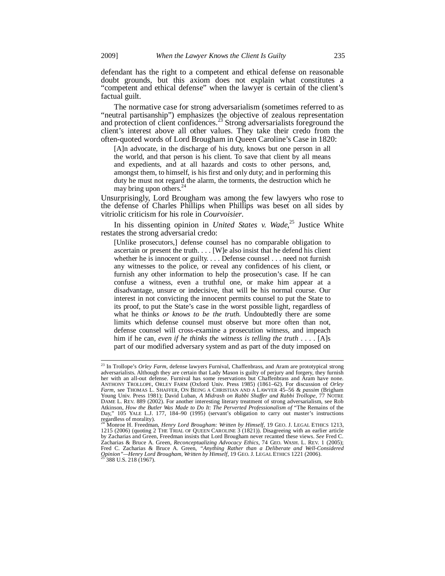defendant has the right to a competent and ethical defense on reasonable doubt grounds, but this axiom does not explain what constitutes a "competent and ethical defense" when the lawyer is certain of the client's factual guilt.

The normative case for strong adversarialism (sometimes referred to as "neutral partisanship") emphasizes the objective of zealous representation and protection of client confidences.<sup>23</sup> Strong adversarialists foreground the client's interest above all other values. They take their credo from the often-quoted words of Lord Brougham in Queen Caroline's Case in 1820:

[A]n advocate, in the discharge of his duty, knows but one person in all the world, and that person is his client. To save that client by all means and expedients, and at all hazards and costs to other persons, and, amongst them, to himself, is his first and only duty; and in performing this duty he must not regard the alarm, the torments, the destruction which he may bring upon others.<sup>24</sup>

Unsurprisingly, Lord Brougham was among the few lawyers who rose to the defense of Charles Phillips when Phillips was beset on all sides by vitriolic criticism for his role in *Courvoisier*.

In his dissenting opinion in *United States v. Wade*, 25 Justice White restates the strong adversarial credo:

[Unlike prosecutors,] defense counsel has no comparable obligation to ascertain or present the truth. . . . [W]e also insist that he defend his client whether he is innocent or guilty. . . . Defense counsel . . . need not furnish any witnesses to the police, or reveal any confidences of his client, or furnish any other information to help the prosecution's case. If he can confuse a witness, even a truthful one, or make him appear at a disadvantage, unsure or indecisive, that will be his normal course. Our interest in not convicting the innocent permits counsel to put the State to its proof, to put the State's case in the worst possible light, regardless of what he thinks *or knows to be the truth*. Undoubtedly there are some limits which defense counsel must observe but more often than not, defense counsel will cross-examine a prosecution witness, and impeach him if he can, *even if he thinks the witness is telling the truth* . . . . [A]s part of our modified adversary system and as part of the duty imposed on

<sup>23</sup> In Trollope's *Orley Farm*, defense lawyers Furnival, Chaffenbrass, and Aram are prototypical strong adversarialists. Although they are certain that Lady Mason is guilty of perjury and forgery, they furnish her with an all-out defense. Furnival has some reservations but Chaffenbrass and Aram have none. ANTHONY TROLLOPE, ORLEY FARM (Oxford Univ. Press 1985) (1861–62). For discussion of *Orley Farm*, see THOMAS L. SHAFFER, ON BEING A CHRISTIAN AND A LAWYER 45–56 & *passim* (Brigham Young Univ. Press 1981); David Luban, *A Midrash on Rabbi Shaffer and Rabbi Trollope*, 77 NOTRE DAME L. REV. 889 (2002). For another interesting literary treatment of strong adversarialism, see Rob Atkinson, *How the Butler Was Made to Do It: The Perverted Professionalism of* "The Remains of the Day," 105 YALE L.J. 177, 184–90 (1995) (servant's obligation to carry out master's instructions Day," 105 YALE L.J.<br>regardless of morality).

<sup>&</sup>lt;sup>24</sup> Monroe H. Freedman, *Henry Lord Brougham: Written by Himself*, 19 GEO. J. LEGAL ETHICS 1213, 1215 (2006) (quoting 2 THE TRIAL OF QUEEN CAROLINE 3 (1821)). Disagreeing with an earlier article by Zacharias and Green, Freedman insists that Lord Brougham never recanted these views. *See* Fred C. Zacharias & Bruce A. Green, *Reconceptualizing Advocacy Ethics*, 74 GEO. WASH. L. REV. 1 (2005); Fred C. Zacharias & Bruce A. Green, *"Anything Rather than a Deliberate and Well-Considered Opinion"—Henry Lord Brougham, Written by Himself*, 19 GEO. J. LEGAL ETHICS 1221 (2006). 25 388 U.S. 218 (1967).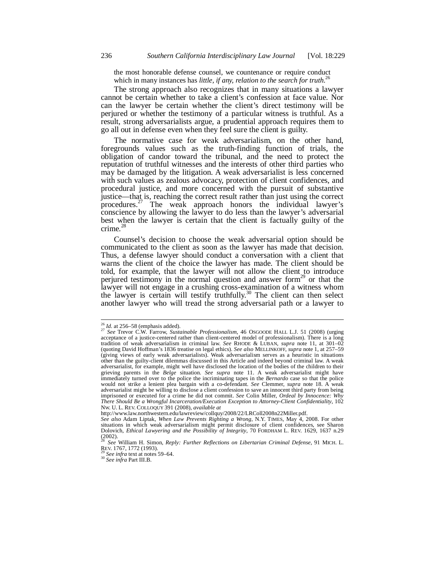the most honorable defense counsel, we countenance or require conduct which in many instances has *little, if any, relation to the search for truth*.<sup>26</sup>

The strong approach also recognizes that in many situations a lawyer cannot be certain whether to take a client's confession at face value. Nor can the lawyer be certain whether the client's direct testimony will be perjured or whether the testimony of a particular witness is truthful. As a result, strong adversarialists argue, a prudential approach requires them to go all out in defense even when they feel sure the client is guilty.

The normative case for weak adversarialism, on the other hand, foregrounds values such as the truth-finding function of trials, the obligation of candor toward the tribunal, and the need to protect the reputation of truthful witnesses and the interests of other third parties who may be damaged by the litigation. A weak adversarialist is less concerned with such values as zealous advocacy, protection of client confidences, and procedural justice, and more concerned with the pursuit of substantive justice—that is, reaching the correct result rather than just using the correct procedures.<sup>27</sup> The weak approach honors the individual lawyer's The weak approach honors the individual lawyer's conscience by allowing the lawyer to do less than the lawyer's adversarial best when the lawyer is certain that the client is factually guilty of the crime. $^{2}$ 

Counsel's decision to choose the weak adversarial option should be communicated to the client as soon as the lawyer has made that decision. Thus, a defense lawyer should conduct a conversation with a client that warns the client of the choice the lawyer has made. The client should be told, for example, that the lawyer will not allow the client to introduce perjured testimony in the normal question and answer form<sup>29</sup> or that the lawyer will not engage in a crushing cross-examination of a witness whom the lawyer is certain will testify truthfully.<sup>30</sup> The client can then select another lawyer who will tread the strong adversarial path or a lawyer to

 $26$  *Id.* at 256–58 (emphasis added).

<sup>26</sup> *Id.* at 256–58 (emphasis added). 27 *See* Trevor C.W. Farrow, *Sustainable Professionalism*, 46 OSGOODE HALL L.J. 51 (2008) (urging acceptance of a justice-centered rather than client-centered model of professionalism). There is a long tradition of weak adversarialism in criminal law. *See* RHODE & LUBAN, *supra* note 11, at 301–02 (quoting David Hoffman's 1836 treatise on legal ethics). *See also* MELLINKOFF, *supra* note 1, at 257–59 (giving views of early weak adversarialists). Weak adversarialism serves as a heuristic in situations other than the guilty-client dilemmas discussed in this Article and indeed beyond criminal law. A weak adversarialist, for example, might well have disclosed the location of the bodies of the children to their grieving parents in the *Belge* situation. *See supra* note 11. A weak adversarialist might have immediately turned over to the police the incriminating tapes in the *Bernardo* case so that the police would not strike a lenient plea bargain with a co-defendant. *See* Clemmer, *supra* note 18. A weak adversarialist might be willing to disclose a client confession to save an innocent third party from being imprisoned or executed for a crime he did not commit. *See* Colin Miller, *Ordeal by Innocence: Why There Should Be a Wrongful Incarceration/Execution Exception to Attorney-Client Confidentiality*, 102 NW. U. L. REV. COLLOQUY 391 (2008), *available at*

http://www.law.northwestern.edu/lawreview/collquy/2008/22/LRColl2008n22Miller.pdf.

*See also* Adam Liptak, *When Law Prevents Righting a Wrong*, N.Y. TIMES, May 4, 2008. For other situations in which weak adversarialism might permit disclosure of client confidences, see Sharon Dolovich, *Ethical Lawyering and the Possibility of Integrity*, 70 FORDHAM L. REV. 1629, 1637 n.29  $(2002)$ .

<sup>28</sup> *See* William H. Simon, *Reply: Further Reflections on Libertarian Criminal Defense*, 91 MICH. L.

REV. 1767, 1772 (1993). 29 *See infra* text at notes 59–64. 30 *See infra* Part III.B.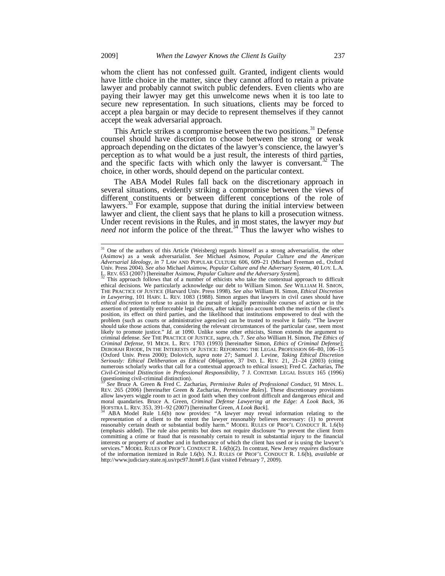whom the client has not confessed guilt. Granted, indigent clients would have little choice in the matter, since they cannot afford to retain a private lawyer and probably cannot switch public defenders. Even clients who are paying their lawyer may get this unwelcome news when it is too late to secure new representation. In such situations, clients may be forced to accept a plea bargain or may decide to represent themselves if they cannot accept the weak adversarial approach.

This Article strikes a compromise between the two positions.<sup>31</sup> Defense counsel should have discretion to choose between the strong or weak approach depending on the dictates of the lawyer's conscience, the lawyer's perception as to what would be a just result, the interests of third parties, and the specific facts with which only the lawyer is conversant.<sup>32</sup> The choice, in other words, should depend on the particular context.

The ABA Model Rules fall back on the discretionary approach in several situations, evidently striking a compromise between the views of different constituents or between different conceptions of the role of lawyers.<sup>33</sup> For example, suppose that during the initial interview between lawyer and client, the client says that he plans to kill a prosecution witness. Under recent revisions in the Rules, and in most states, the lawyer *may but need not* inform the police of the threat.<sup>34</sup> Thus the lawyer who wishes to

 $\overline{a}$ 

<sup>&</sup>lt;sup>31</sup> One of the authors of this Article (Weisberg) regards himself as a strong adversarialist, the other (Asimow) as a weak adversarialist. *See* Michael Asimow, *Popular Culture and the American Adversarial Ideology*, *in* 7 LAW AND POPULAR CULTURE 606, 609–21 (Michael Freeman ed., Oxford Univ. Press 2004). *See also* Michael Asimow, *Popular Culture and the Adversary System*, 40 LOY. L.A.

L. REV. 653 (2007) [hereinafter Asimow, *Popular Culture and the Adversary System*]. 32 This approach follows that of a number of ethicists who take the contextual approach to difficult ethical decisions. We particularly acknowledge our debt to William Simon. *See* WILLIAM H. SIMON, THE PRACTICE OF JUSTICE (Harvard Univ. Press 1998). *See also* William H. Simon, *Ethical Discretion in Lawyering*, 101 HARV. L. REV. 1083 (1988). Simon argues that lawyers in civil cases should have *ethical discretion* to refuse to assist in the pursuit of legally permissible courses of action or in the assertion of potentially enforceable legal claims, after taking into account both the merits of the client's position, its effect on third parties, and the likelihood that institutions empowered to deal with the problem (such as courts or administrative agencies) can be trusted to resolve it fairly. "The lawyer should take those actions that, considering the relevant circumstances of the particular case, seem most likely to promote justice." *Id.* at 1090. Unlike some other ethicists, Simon extends the argument to criminal defense. *See* THE PRACTICE OF JUSTICE, *supra*, ch. 7. *See also* William H. Simon, *The Ethics of Criminal Defense*, 91 MICH. L. REV. 1703 (1993) [hereinafter Simon, *Ethics of Criminal Defense*]; DEBORAH RHODE, IN THE INTERESTS OF JUSTICE: REFORMING THE LEGAL PROFESSION 66–80, 106–15 (Oxford Univ. Press 2000); Dolovich, *supra* note 27; Samuel J. Levine, *Taking Ethical Discretion Seriously: Ethical Deliberation as Ethical Obligation*, 37 IND. L. REV. 21, 21–24 (2003) (citing numerous scholarly works that call for a contextual approach to ethical issues); Fred C. Zacharias, *The Civil-Criminal Distinction in Professional Responsibility*, 7 J. CONTEMP. LEGAL ISSUES 165 (1996) (questioning civil-criminal distinction).

<sup>33</sup> *See* Bruce A. Green & Fred C. Zacharias, *Permissive Rules of Professional Conduct*, 91 MINN. L. REV. 265 (2006) [hereinafter Green & Zacharias, *Permissive Rules*]. These discretionary provisions allow lawyers wiggle room to act in good faith when they confront difficult and dangerous ethical and moral quandaries. Br HOFSTRA L. REV. 353, 391–92 (2007) [hereinafter Green, *A Look Back*]. 34 ABA Model Rule 1.6(b) now provides: "A lawyer *may* reveal information relating to the

representation of a client to the extent the lawyer reasonably believes necessary: (1) to prevent reasonably certain death or substantial bodily harm." MODEL RULES OF PROF'L CONDUCT R. 1.6(b) (emphasis added). The rule also permits but does not require disclosure "to prevent the client from committing a crime or fraud that is reasonably certain to result in substantial injury to the financial interests or property of another and in furtherance of which the client has used or is using the lawyer's services." MODEL RULES OF PROF'L CONDUCT R. 1.6(b)(2). In contrast, New Jersey *requires* disclosure of the information itemized in Rule 1.6(b). N.J. RULES OF PROF'L CONDUCT R. 1.6(b), *available at*  http://www.judiciary.state.nj.us/rpc97.htm#1.6 (last visited February 7, 2009).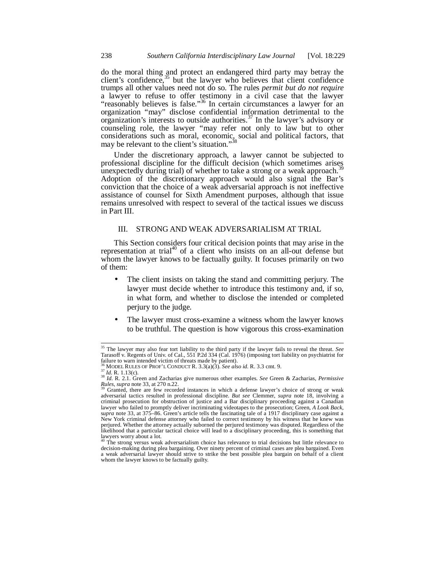do the moral thing and protect an endangered third party may betray the client's confidence, $35$  but the lawyer who believes that client confidence trumps all other values need not do so. The rules *permit but do not require*  a lawyer to refuse to offer testimony in a civil case that the lawyer "reasonably believes is false."<sup>36</sup> In certain circumstances a lawyer for an organization "may" disclose confidential information detrimental to the organization's interests to outside authorities.<sup>37</sup> In the lawyer's advisory or counseling role, the lawyer "may refer not only to law but to other considerations such as moral, economic, social and political factors, that may be relevant to the client's situation."<sup>38</sup>

Under the discretionary approach, a lawyer cannot be subjected to professional discipline for the difficult decision (which sometimes arises unexpectedly during trial) of whether to take a strong or a weak approach.<sup>3</sup> Adoption of the discretionary approach would also signal the Bar's conviction that the choice of a weak adversarial approach is not ineffective assistance of counsel for Sixth Amendment purposes, although that issue remains unresolved with respect to several of the tactical issues we discuss in Part III.

# III. STRONG AND WEAK ADVERSARIALISM AT TRIAL

This Section considers four critical decision points that may arise in the representation at trial<sup>40</sup> of a client who insists on an all-out defense but whom the lawyer knows to be factually guilty. It focuses primarily on two of them:

- The client insists on taking the stand and committing perjury. The lawyer must decide whether to introduce this testimony and, if so, in what form, and whether to disclose the intended or completed perjury to the judge.
- The lawyer must cross-examine a witness whom the lawyer knows to be truthful. The question is how vigorous this cross-examination

<sup>35</sup> The lawyer may also fear tort liability to the third party if the lawyer fails to reveal the threat. *See*  Tarasoff v. Regents of Univ. of Cal., 551 P.2d 334 (Cal. 1976) (imposing tort liability on psychiatrist for failure to warn intended victim of threats made by patient).

<sup>36</sup> MODEL RULES OF PROF'L CONDUCT R. 3.3(a)(3). See also id. R. 3.3 cmt. 9.<br>
<sup>37</sup> Id. R. 1.13(c).<br>
<sup>38</sup> Id. R. 2.1. Green and Zacharias give numerous other examples. See Green & Zacharias, *Permissive Rules, supra* note

Granted, there are few recorded instances in which a defense lawyer's choice of strong or weak adversarial tactics resulted in professional discipline. *But see* Clemmer, *supra* note 18, involving a criminal prosecution for obstruction of justice and a Bar disciplinary proceeding against a Canadian lawyer who failed to promptly deliver incriminating videotapes to the prosecution; Green, *A Look Back*, s*upra* note 33, at 375–86. Green's article tells the fascinating tale of a 1917 disciplinary case against a New York criminal defense attorney who failed to correct testimony by his witness that he knew was perjured. Whether the attorney actually suborned the perjured testimony was disputed. Regardless of the likelihood that a particular tactical choice will lead to a disciplinary proceeding, this is something that lawyers worry about a lot.<br><sup>40</sup> The strong versus week

The strong versus weak adversarialism choice has relevance to trial decisions but little relevance to decision-making during plea bargaining. Over ninety percent of criminal cases are plea bargained. Even a weak adversarial lawyer should strive to strike the best possible plea bargain on behalf of a client whom the lawyer knows to be factually guilty.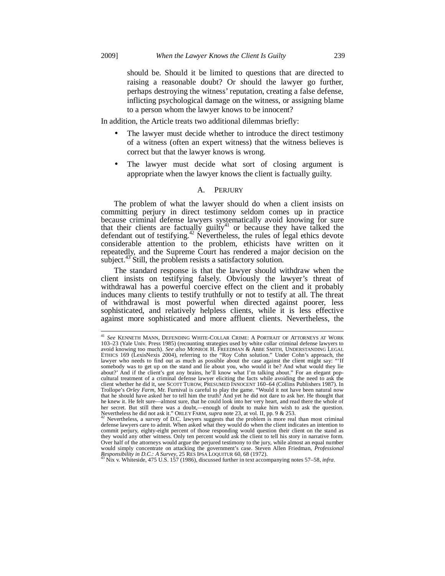j

should be. Should it be limited to questions that are directed to raising a reasonable doubt? Or should the lawyer go further, perhaps destroying the witness' reputation, creating a false defense, inflicting psychological damage on the witness, or assigning blame to a person whom the lawyer knows to be innocent?

In addition, the Article treats two additional dilemmas briefly:

- The lawyer must decide whether to introduce the direct testimony of a witness (often an expert witness) that the witness believes is correct but that the lawyer knows is wrong.
- The lawyer must decide what sort of closing argument is appropriate when the lawyer knows the client is factually guilty.

#### A. PERJURY

The problem of what the lawyer should do when a client insists on committing perjury in direct testimony seldom comes up in practice because criminal defense lawyers systematically avoid knowing for sure that their clients are factually guilty<sup>41</sup> or because they have talked the defendant out of testifying.<sup>42</sup> Nevertheless, the rules of legal ethics devote considerable attention to the problem, ethicists have written on it repeatedly, and the Supreme Court has rendered a major decision on the subject.<sup>43</sup> Still, the problem resists a satisfactory solution.

The standard response is that the lawyer should withdraw when the client insists on testifying falsely. Obviously the lawyer's threat of withdrawal has a powerful coercive effect on the client and it probably induces many clients to testify truthfully or not to testify at all. The threat of withdrawal is most powerful when directed against poorer, less sophisticated, and relatively helpless clients, while it is less effective against more sophisticated and more affluent clients. Nevertheless, the

<sup>41</sup> *See* KENNETH MANN, DEFENDING WHITE-COLLAR CRIME: A PORTRAIT OF ATTORNEYS AT WORK 103–23 (Yale Univ. Press 1985) (recounting strategies used by white collar criminal defense lawyers to avoid knowing too much). *See also* MONROE H. FREEDMAN & ABBE SMITH, UNDERSTANDING LEGAL ETHICS 169 (LexisNexis 2004), referring to the "Roy Cohn solution." Under Cohn's approach, the lawyer who needs to find out as much as possible about the case against the client might say: somebody was to get up on the stand and lie about you, who would it be? And what would they lie about?' And if the client's got any brains, he'll know what I'm talking about." For an elegant popcultural treatment of a criminal defense lawyer eliciting the facts while avoiding the need to ask the client whether he did it, see SCOTT TUROW, PRESUMED INNOCENT 160–64 (Collins Publishers 1987). In Trollope's *Orley Farm*, Mr. Furnival is careful to play the game. "Would it not have been natural now that he should have asked her to tell him the truth? And yet he did not dare to ask her. He thought that he knew it. He felt sure—almost sure, that he could look into her very heart, and read there the whole of her secret. But still there was a doubt,—enough of doubt to make him wish to ask the question.<br>Nevertheless he did not ask it." ORLEY FARM, *supra* note 23, at vol. II, pp. 9 & 253.<br><sup>42</sup> Nevertheless, a survey of D.C. lawy

 $42$  Nevertheless, a survey of D.C. lawyers suggests that the problem is more real than most criminal defense lawyers care to admit. When asked what they would do when the client indicates an intention to commit perjury, eighty-eight percent of those responding would question their client on the stand as they would any other witness. Only ten percent would ask the client to tell his story in narrative form. Over half of the attorneys would argue the perjured testimony to the jury, while almost an equal number would simply concentrate on attacking the government's case. Steven Allen Friedman, *Professional Responsibility in D.C.: A Survey*, 25 RES IPSA LOQUITUR 60, 68 (1972). 43 Nix v. Whiteside, 475 U.S. 157 (1986), discussed further in text accompanying notes 57–58, *infra*.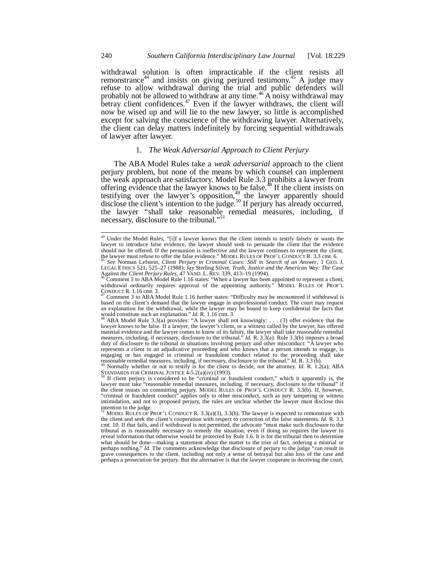withdrawal solution is often impracticable if the client resists all remonstrance<sup>44</sup> and insists on giving perjured testimony.<sup>45</sup> A judge may refuse to allow withdrawal during the trial and public defenders will probably not be allowed to withdraw at any time.<sup>46</sup> A noisy withdrawal may betray client confidences.<sup>47</sup> Even if the lawyer withdraws, the client will now be wised up and will lie to the new lawyer, so little is accomplished except for salving the conscience of the withdrawing lawyer. Alternatively, the client can delay matters indefinitely by forcing sequential withdrawals of lawyer after lawyer.

# 1. *The Weak Adversarial Approach to Client Perjury*

The ABA Model Rules take a *weak adversarial* approach to the client perjury problem, but none of the means by which counsel can implement the weak approach are satisfactory. Model Rule 3.3 prohibits a lawyer from offering evidence that the lawyer knows to be false.<sup>48</sup> If the client insists on testifying over the lawyer's opposition,<sup>49</sup> the lawyer apparently should disclose the client's intention to the judge.<sup>50</sup> If perjury has already occurred, the lawyer "shall take reasonable remedial measures, including, if necessary, disclosure to the tribunal."<sup>51</sup>

<sup>&</sup>lt;sup>44</sup> Under the Model Rules, "[i]f a lawyer knows that the client intends to testify falsely or wants the lawyer to introduce false evidence, the lawyer should seek to persuade the client that the evidence should not be offered. If the persuasion is ineffective and the lawyer continues to represent the client, the lawyer must refuse to offer the false evidence." MODEL RULES OF PROF'L CONDUCT R. 3.3 cmt. 6.<br><sup>45</sup> See Norman Le

LEGAL ETHICS 521, 525–27 (1988); Jay Sterling Silver, *Truth, Justice and the American Way: The Case*<br>Against *the Client Perjury Rules*, 47 VAND. L. REV. 339, 413–19 (1994).<br><sup>46</sup> Comment 3 to ABA Model Rule 1.16 states: "

withdrawal ordinarily requires approval of the appointing authority." MODEL RULES OF PROF'L<br>  $\frac{1}{20}$ ONDUCT R. 1.16 cm. 3.

Comment 3 to ABA Model Rule 1.16 further states: "Difficulty may be encountered if withdrawal is based on the client's demand that the lawyer engage in unprofessional conduct. The court may request an explanation for the withdrawal, while the lawyer may be bound to keep confidential the facts that would constitute such an explanation."  $Id$ . R. 1.16 cmt. 3.

ABA Model Rule 3.3(a) provides: "A lawyer shall not knowingly: . . . (3) offer evidence that the lawyer knows to be false. If a lawyer, the lawyer's client, or a witness called by the lawyer, has offered material evidence and the lawyer comes to know of its falsity, the lawyer shall take reasonable remedial measures, including, if necessary, disclosure to the tribunal." *Id.* R. 3.3(a). Rule 3.3(b) imposes a broad duty of disclosure to the tribunal in situations involving perjury and other misconduct: "A lawyer who represents a client in an adjudicative proceeding and who knows that a person intends to engage, is engaging or has engaged in criminal or fraudulent conduct related to the proceeding shall take<br>reasonable remedial measures, including, if necessary, disclosure to the tribunal."  $Id$ . R. 3.3 (b).<br><sup>49</sup> Normally whether or

STANDARDS FOR CRIMINAL JUSTICE  $4-5.2(a)(iv)$  (1993).<br><sup>50</sup> If client perjury is considered to be "criminal or fraudulent conduct," which it apparently is, the

lawyer must take "reasonable remedial measures, including, if necessary, disclosure to the tribunal" if the client insists on committing perjury. MODEL RULES OF PROF'L CONDUCT R. 3.3(b). If, however, "criminal or fraudulent conduct" applies only to other misconduct, such as jury tampering or witness intimidation, and not to proposed perjury, the rules are unclear whether the lawyer must disclose this intention to the judge.<br><sup>51</sup> MODEL RULES OF PROF'L CONDUCT R. 3.3(a)(3), 3.3(b). The lawyer is expected to remonstrate with

the client and seek the client's cooperation with respect to correction of the false statements. *Id.* R. 3.3 cmt. 10. If that fails, and if withdrawal is not permitted, the advocate "must make such disclosure to the tribunal as is reasonably necessary to remedy the situation, even if doing so requires the lawyer to reveal information that otherwise would be protected by Rule 1.6. It is for the tribunal then to determine what should be done—making a statement about the matter to the trier of fact, ordering a mistrial or perhaps nothing." *Id.* The comments acknowledge that disclosure of perjury to the judge "can result in grave consequences to the client, including not only a sense of betrayal but also loss of the case and perhaps a prosecution for perjury. But the alternative is that the lawyer cooperate in deceiving the court,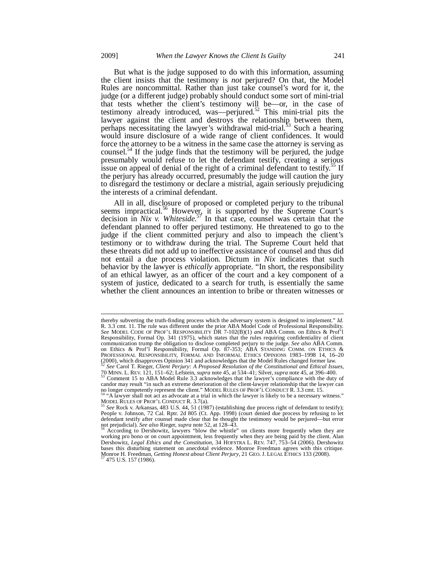-

But what is the judge supposed to do with this information, assuming the client insists that the testimony is *not* perjured? On that, the Model Rules are noncommittal. Rather than just take counsel's word for it, the judge (or a different judge) probably should conduct some sort of mini-trial that tests whether the client's testimony will be—or, in the case of testimony already introduced, was—perjured.<sup>52</sup> This mini-trial pits the lawyer against the client and destroys the relationship between them, perhaps necessitating the lawyer's withdrawal mid-trial.<sup>53</sup> Such a hearing would insure disclosure of a wide range of client confidences. It would force the attorney to be a witness in the same case the attorney is serving as counsel.<sup>54</sup> If the judge finds that the testimony will be perjured, the judge presumably would refuse to let the defendant testify, creating a serious issue on appeal of denial of the right of a criminal defendant to testify.<sup>55</sup> If the perjury has already occurred, presumably the judge will caution the jury to disregard the testimony or declare a mistrial, again seriously prejudicing the interests of a criminal defendant.

All in all, disclosure of proposed or completed perjury to the tribunal seems impractical.<sup>56</sup> However, it is supported by the Supreme Court's decision in *Nix v. Whiteside*. <sup>57</sup> In that case, counsel was certain that the defendant planned to offer perjured testimony. He threatened to go to the judge if the client committed perjury and also to impeach the client's testimony or to withdraw during the trial. The Supreme Court held that these threats did not add up to ineffective assistance of counsel and thus did not entail a due process violation. Dictum in *Nix* indicates that such behavior by the lawyer is *ethically* appropriate. "In short, the responsibility of an ethical lawyer, as an officer of the court and a key component of a system of justice, dedicated to a search for truth, is essentially the same whether the client announces an intention to bribe or threaten witnesses or

thereby subverting the truth-finding process which the adversary system is designed to implement." *Id.* R. 3.3 cmt. 11. The rule was different under the prior ABA Model Code of Professional Responsibility. *See* MODEL CODE OF PROF'L RESPONSIBILITY DR 7-102(B)(1) *and* ABA Comm. on Ethics & Prof'l Responsibility, Formal Op. 341 (1975), which states that the rules requiring confidentiality of client communication trump the obligation to disclose completed perjury to the judge. *See also* ABA Comm. on Ethics & Prof'l Responsibility, Formal Op. 87-353; ABA STANDING COMM. ON ETHICS & PROFESSIONAL RESPONSIBILITY, FORMAL AND INFORMAL ETHICS OPINIONS 1983–1998 14, 16–20 (2000), which disapproves Opinion 341 and acknowledges that the Model Rules changed former law. <sup>52</sup> *See* Carol T. Rieger, *Client Perjury: A Proposed Resolution of the Constitutional and Ethical Issues*,

<sup>70</sup> MINN. L. REV. 121, 151–62; Lefstein, *supra* note 45, at 534–41; Silver, *supra* note 45, at 396–400. 53 Comment 15 to ABA Model Rule 3.3 acknowledges that the lawyer's compliance with the duty of candor may result "in such an extreme deterioration of the client-lawyer relationship that the lawyer can

no longer competently represent the client." MODEL RULES OF PROF'L CONDUCT R. 3.3 cmt. 15.<br><sup>54</sup> "A lawyer shall not act as advocate at a trial in which the lawyer is likely to be a necessary witness."<br>MODEL RULES OF PROF'L

MODEL RULES OF PROF'L CONDUCT R. 3.7(a).<br><sup>55</sup> See Rock v. Arkansas, 483 U.S. 44, 51 (1987) (establishing due process right of defendant to testify);<br>People v. Johnson, 72 Cal. Rptr. 2d 805 (Ct. App. 1998) (court denied due

defendant testify after counsel made clear that he thought the testimony would be perjured—but error not prejudicial). *See also* Rieger, *supra* note 52, at 128–43. <sup>56</sup> According to Dershowitz, lawyers "blow the whistle" on clients more frequently when they are

working pro bono or on court appointment, less frequently when they are being paid by the client. Alan Dershowitz, *Legal Ethics and the Constitution,* 34 HOFSTRA L. REV. 747, 753–54 (2006). Dershowitz bases this disturbing statement on anecdotal evidence. Monroe Freedman agrees with this critique. Monroe H. Freedman, *Getting Honest about Client Perjury*, 21 GEO. J. LEGAL ETHICS 133 (2008). 57 475 U.S. 157 (1986).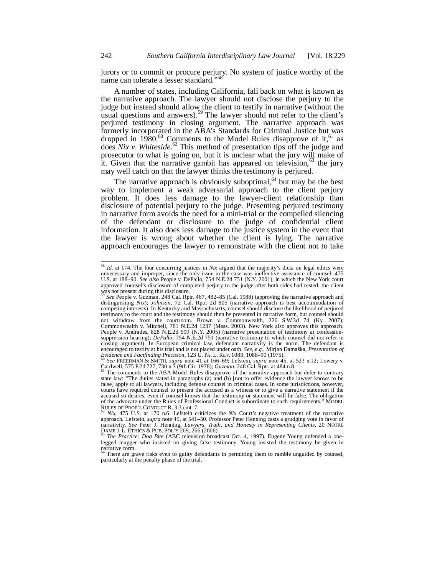jurors or to commit or procure perjury. No system of justice worthy of the name can tolerate a lesser standard."58

A number of states, including California, fall back on what is known as the narrative approach. The lawyer should not disclose the perjury to the judge but instead should allow the client to testify in narrative (without the usual questions and answers).<sup>59</sup> The lawyer should not refer to the client's perjured testimony in closing argument. The narrative approach was formerly incorporated in the ABA's Standards for Criminal Justice but was dropped in 1980.<sup>60</sup> Comments to the Model Rules disapprove of it, <sup>61</sup> as does *Nix v. Whiteside*. <sup>62</sup> This method of presentation tips off the judge and prosecutor to what is going on, but it is unclear what the jury will make of it. Given that the narrative gambit has appeared on television,  $63$  the jury may well catch on that the lawyer thinks the testimony is perjured.

The narrative approach is obviously suboptimal,  $64$  but may be the best way to implement a weak adversarial approach to the client perjury problem. It does less damage to the lawyer-client relationship than disclosure of potential perjury to the judge. Presenting perjured testimony in narrative form avoids the need for a mini-trial or the compelled silencing of the defendant or disclosure to the judge of confidential client information. It also does less damage to the justice system in the event that the lawyer is wrong about whether the client is lying. The narrative approach encourages the lawyer to remonstrate with the client not to take

1

<sup>58</sup> *Id.* at 174. The four concurring justices in *Nix* argued that the majority's dicta on legal ethics were unnecessary and improper, since the only issue in the case was ineffective assistance of counsel. 475 U.S. at 188–90. *See also* People v. DePallo, 754 N.E.2d 751 (N.Y. 2001), in which the New York court approved counsel's disclosure of completed perjury to the judge after both sides had rested; the client

was not present during this disclosure.<br><sup>59</sup> See People v. Guzman, 248 Cal. Rptr. 467, 482–85 (Cal. 1988) (approving the narrative approach and distinguishing *Nix*); *Johnson*, 72 Cal. Rptr. 2d 805 (narrative approach is best accommodation of competing interests). In Kentucky and Massachusetts, counsel should disclose the likelihood of perjured testimony to the court and the testimony should then be presented in narrative form, but counsel should not withdraw from the courtroom. Brown v. Commonwealth, 226 S.W.3d 74 (Ky. 2007); Commonwealth v. Mitchell, 781 N.E.2d 1237 (Mass. 2003). New York also approves this approach. People v. Andrades, 828 N.E.2d 599 (N.Y. 2005) (narrative presentation of testimony at confessionsuppression hearing); *DePallo*, 754 N.E.2d 751 (narrative testimony to which counsel did not refer in closing argument). In European criminal law, defendant narrativity is the norm. The defendant is encouraged to testify at his trial and is not placed under oath. *See, e.g.*, Mirjan Damaška, *Presentation of* Evidence and Factfinding Precision, 123 U. PA. L. REV. 1083, 1088–90 (1975).

*Evidence and Factfinding Precision*, 123 U. PA. L. REV. 1083, 1088–90 (1975). 60 *See* FREEDMAN & SMITH, *supra* note 41 at 166–69; Lefstein, *supra* note 45, at 523 n.12; Lowery v. Cardwell, 575 F.2d 727, 730 n.3 (9th Cir. 1978); *Guzman*, 248 Cal. Rptr. at 484 n.8.<br><sup>61</sup> The comments to the ABA Model Rules disapprove of the narrative approach but defer to contrary

state law: "The duties stated in paragraphs (a) and (b) [not to offer evidence the lawyer knows to be false] apply to all lawyers, including defense counsel in criminal cases. In some jurisdictions, however, courts have required counsel to present the accused as a witness or to give a narrative statement if the accused so desires, even if counsel knows that the testimony or statement will be false. The obligation of the advocate under the Rules of Professional Conduct is subordinate to such requirements." MODEL RULES OF PROF'L CONDUCT R. 3.3 cmt. 7.<br><sup>62</sup> *Nix*, 475 U.S. at 170 n.6. Lefstein criticizes the *Nix* Court's negative treatment of the narrative

approach. Lefstein, *supra* note 45, at 541–50. Professor Peter Henning casts a grudging vote in favor of narrativity. See Peter J. Henning, *Lawyers, Truth, and Honesty in Representing Clients*, 20 NOTRE<br>DAME J. L. ETHICS & PUB. POL'Y 209, 266 (2006).<br><sup>63</sup> The Practice: Dog Bite (ABC television broadcast Oct. 4, 1997). Eugene

legged mugger who insisted on giving false testimony. Young insisted the testimony be given in narrative form.<br><sup>64</sup> There are grave risks even to guilty defendants in permitting them to ramble unguided by counsel,

particularly at the penalty phase of the trial.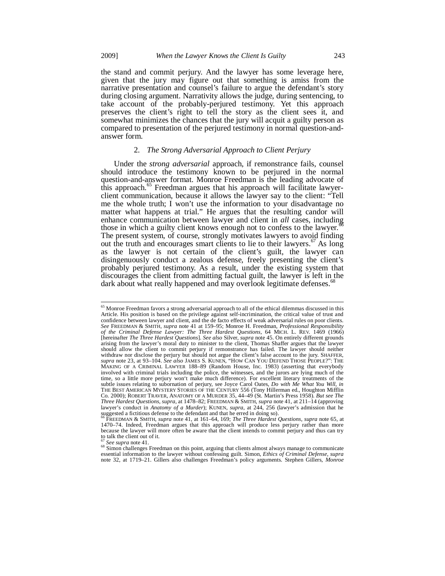the stand and commit perjury. And the lawyer has some leverage here, given that the jury may figure out that something is amiss from the narrative presentation and counsel's failure to argue the defendant's story during closing argument. Narrativity allows the judge, during sentencing, to take account of the probably-perjured testimony. Yet this approach preserves the client's right to tell the story as the client sees it, and somewhat minimizes the chances that the jury will acquit a guilty person as compared to presentation of the perjured testimony in normal question-andanswer form.

### 2. *The Strong Adversarial Approach to Client Perjury*

Under the *strong adversarial* approach, if remonstrance fails, counsel should introduce the testimony known to be perjured in the normal question-and-answer format. Monroe Freedman is the leading advocate of this approach.<sup>65</sup> Freedman argues that his approach will facilitate lawyerclient communication, because it allows the lawyer say to the client: "Tell me the whole truth; I won't use the information to your disadvantage no matter what happens at trial." He argues that the resulting candor will enhance communication between lawyer and client in *all* cases, including those in which a guilty client knows enough not to confess to the lawyer.<sup>67</sup> The present system, of course, strongly motivates lawyers to avoid finding out the truth and encourages smart clients to lie to their lawyers.<sup>67</sup> As long as the lawyer is not certain of the client's guilt, the lawyer can disingenuously conduct a zealous defense, freely presenting the client's probably perjured testimony. As a result, under the existing system that discourages the client from admitting factual guilt, the lawyer is left in the dark about what really happened and may overlook legitimate defenses.<sup>68</sup>

<sup>&</sup>lt;sup>65</sup> Monroe Freedman favors a strong adversarial approach to all of the ethical dilemmas discussed in this Article. His position is based on the privilege against self-incrimination, the critical value of trust and confidence between lawyer and client, and the de facto effects of weak adversarial rules on poor clients. *See* FREEDMAN & SMITH, *supra* note 41 at 159–95; Monroe H. Freedman, *Professional Responsibility of the Criminal Defense Lawyer: The Three Hardest Questions*, 64 MICH. L. REV. 1469 (1966) [hereinafter *The Three Hardest Questions*]. *See also* Silver, *supra* note 45. On entirely different grounds arising from the lawyer's moral duty to minister to the client, Thomas Shaffer argues that the lawyer should allow the client to commit perjury if remonstrance has failed. The lawyer should neither withdraw nor disclose the perjury but should not argue the client's false account to the jury. SHAFFER, *supra* note 23, at 93–104. *See also* JAMES S. KUNEN, "HOW CAN YOU DEFEND THOSE PEOPLE?": THE MAKING OF A CRIMINAL LAWYER 188–89 (Random House, Inc. 1983) (asserting that everybody involved with criminal trials including the police, the witnesses, and the jurors are lying much of the time, so a little more perjury won't make much difference). For excellent literary treatments of the subtle issues relating to subornation of perjury, see Joyce Carol Oates, *Do with Me What You Will*, *in* THE BEST AMERICAN MYSTERY STORIES OF THE CENTURY 556 (Tony Hillerman ed., Houghton Mifflin Co. 2000); ROBERT TRAVER, ANATOMY OF A MURDER 35, 44–49 (St. Martin's Press 1958). *But see The Three Hardest Questions*, *supra*, at 1478–82; FREEDMAN & SMITH, *supra* note 41, at 211–14 (approving lawyer's conduct in *Anatomy of a Murder*); KUNEN, *supra*, at 244, 256 (lawyer's admission that he suggested a fictitious defense to the defendant and that he erred in doing so).

<sup>66</sup> FREEDMAN & SMITH, *supra* note 41, at 161–64, 169; *The Three Hardest Questions*, *supra* note 65, at 1470–74. Indeed, Freedman argues that this approach will produce less perjury rather than more because the lawyer will more often be aware that the client intends to commit perjury and thus can try to talk the client out of it.

<sup>&</sup>lt;sup>67</sup> See supra note 41.<br><sup>68</sup> Simon challenges Freedman on this point, arguing that clients almost always manage to communicate essential information to the lawyer without confessing guilt. Simon, *Ethics of Criminal Defense*, *supra* note 32, at 1719–21. Gillers also challenges Freedman's policy arguments. Stephen Gillers, *Monroe*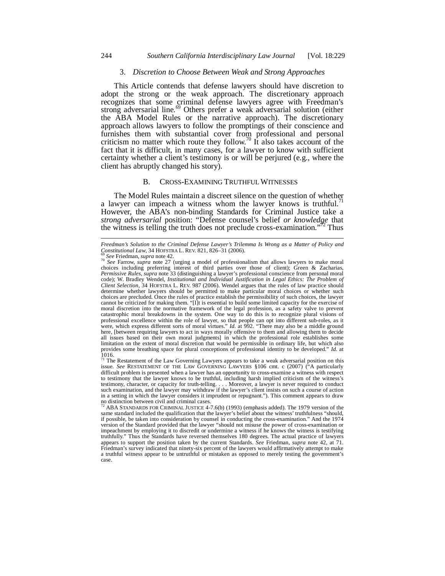#### 3. *Discretion to Choose Between Weak and Strong Approaches*

This Article contends that defense lawyers should have discretion to adopt the strong or the weak approach. The discretionary approach recognizes that some criminal defense lawyers agree with Freedman's strong adversarial line.<sup>69</sup> Others prefer a weak adversarial solution (either the ABA Model Rules or the narrative approach). The discretionary approach allows lawyers to follow the promptings of their conscience and furnishes them with substantial cover from professional and personal criticism no matter which route they follow.<sup>70</sup> It also takes account of the fact that it is difficult, in many cases, for a lawyer to know with sufficient certainty whether a client's testimony is or will be perjured (e.g., where the client has abruptly changed his story).

#### B. CROSS-EXAMINING TRUTHFUL WITNESSES

The Model Rules maintain a discreet silence on the question of whether a lawyer can impeach a witness whom the lawyer knows is truthful.<sup>7</sup> However, the ABA's non-binding Standards for Criminal Justice take a *strong adversarial* position: "Defense counsel's belief *or knowledge* that the witness is telling the truth does not preclude cross-examination."<sup>72</sup> Thus

l

issue. *See* RESTATEMENT OF THE LAW GOVERNING LAWYERS §106 cmt. c (2007) ("A particularly difficult problem is presented when a lawyer has an opportunity to cross-examine a witness with respect to testimony that the lawyer knows to be truthful, including harsh implied criticism of the witness's testimony, character, or capacity for truth-telling. . . . Moreover, a lawyer is never required to conduct such examination, and the lawyer may withdraw if the lawyer's client insists on such a course of action in a setting in which the lawyer considers it imprudent or repugnant."). This comment appears to draw no distinction between civil and criminal cases.

*Freedman's Solution to the Criminal Defense Lawyer's Trilemma Is Wrong as a Matter of Policy and* Constitutional Law, 34 HOFSTRA L. REV. 821, 826–31 (2006).

<sup>&</sup>lt;sup>ov</sup> See Friedman, *supra* note 42.<br><sup>70</sup> See Farrow, *supra* note 27 (urging a model of professionalism that allows lawyers to make moral choices including preferring interest of third parties over those of client); Green & Zacharias, *Permissive Rules*, *supra* note 33 (distinguishing a lawyer's professional conscience from personal moral code); W. Bradley Wendel, *Institutional and Individual Justification in Legal Ethics: The Problem of Client Selection*, 34 HOFSTRA L. REV. 987 (2006). Wendel argues that the rules of law practice should determine whether lawyers should be permitted to make particular moral choices or whether such choices are precluded. Once the rules of practice establish the permissibility of such choices, the lawyer cannot be criticized for making them. "[I]t is essential to build some limited capacity for the exercise of moral discretion into the normative framework of the legal profession, as a safety valve to prevent catastrophic moral breakdowns in the system. One way to do this is to recognize plural visions of professional excellence within the role of lawyer, so that people can opt into different sub-roles, as it were, which express different sorts of moral virtues." *Id.* at 992. "There may also be a middle ground here, [between requiring lawyers to act in ways morally offensive to them and allowing them to decide all issues based on their own moral judgments] in which the professional role establishes some limitation on the extent of moral discretion that would be permissible in ordinary life, but which also provides some breathing space for plural conceptions of professional identity to be developed." *Id.* at 1016.<br><sup>71</sup> The Restatement of the Law Governing Lawyers appears to take a weak adversarial position on this

<sup>&</sup>lt;sup>72</sup> ABA STANDARDS FOR CRIMINAL JUSTICE 4-7.6(b) (1993) (emphasis added). The 1979 version of the same standard included the qualification that the lawyer's belief about the witness' truthfulness "should, if possible, be taken into consideration by counsel in conducting the cross-examination." And the 1974 version of the Standard provided that the lawyer "should not misuse the power of cross-examination or impeachment by employing it to discredit or undermine a witness if he knows the witness is testifying truthfully." Thus the Standards have reversed themselves 180 degrees. The actual practice of lawyers appears to support the position taken by the current Standards. *See* Friedman, *supra* note 42, at 71. Friedman's survey indicated that ninety-six percent of the lawyers would affirmatively attempt to make a truthful witness appear to be untruthful or mistaken as opposed to merely testing the government's case.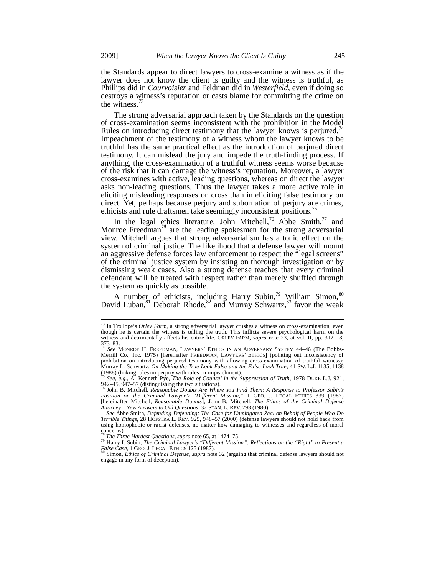the Standards appear to direct lawyers to cross-examine a witness as if the lawyer does not know the client is guilty and the witness is truthful, as Phillips did in *Courvoisier* and Feldman did in *Westerfield*, even if doing so destroys a witness's reputation or casts blame for committing the crime on the witness.'

The strong adversarial approach taken by the Standards on the question of cross-examination seems inconsistent with the prohibition in the Model Rules on introducing direct testimony that the lawyer knows is perjured.<sup>4</sup> Impeachment of the testimony of a witness whom the lawyer knows to be truthful has the same practical effect as the introduction of perjured direct testimony. It can mislead the jury and impede the truth-finding process. If anything, the cross-examination of a truthful witness seems worse because of the risk that it can damage the witness's reputation. Moreover, a lawyer cross-examines with active, leading questions, whereas on direct the lawyer asks non-leading questions. Thus the lawyer takes a more active role in eliciting misleading responses on cross than in eliciting false testimony on direct. Yet, perhaps because perjury and subornation of perjury are crimes, ethicists and rule draftsmen take seemingly inconsistent positions.<sup>7</sup>

In the legal ethics literature, John Mitchell,<sup>76</sup> Abbe Smith,<sup>77</sup> and Monroe Freedman<sup>78</sup> are the leading spokesmen for the strong adversarial view. Mitchell argues that strong adversarialism has a tonic effect on the system of criminal justice. The likelihood that a defense lawyer will mount an aggressive defense forces law enforcement to respect the "legal screens" of the criminal justice system by insisting on thorough investigation or by dismissing weak cases. Also a strong defense teaches that every criminal defendant will be treated with respect rather than merely shuffled through the system as quickly as possible.

A number of ethicists, including Harry Subin,<sup>79</sup> William Simon,<sup>80</sup> David Luban,<sup>81</sup> Deborah Rhode,<sup>82</sup> and Murray Schwartz,<sup>83</sup> favor the weak

<sup>73</sup> In Trollope's *Orley Farm*, a strong adversarial lawyer crushes a witness on cross-examination, even though he is certain the witness is telling the truth. This inflicts severe psychological harm on the witness and detrimentally affects his entire life. ORLEY FARM, *supra* note 23, at vol. II, pp. 312–18,  $373 - 83.$ 

<sup>74</sup> *See* MONROE H. FREEDMAN, LAWYERS' ETHICS IN AN ADVERSARY SYSTEM 44–46 (The Bobbs-Merrill Co., Inc. 1975) [hereinafter FREEDMAN, LAWYERS' ETHICS] (pointing out inconsistency of prohibition on introducing perjured testimony with allowing cross-examination of truthful witness); Murray L. Schwartz, *On Making the True Look False and the False Look True*, 41 SW. L.J. 1135, 1138 (1988) (linking rules on perjury with rules on impeachment).

<sup>75</sup> *See, e.g.*, A. Kenneth Pye, *The Role of Counsel in the Suppression of Truth*, 1978 DUKE L.J. 921,

<sup>942–45, 947–57 (</sup>distinguishing the two situations).<br><sup>76</sup> John B. Mitchell, *Reasonable Doubts Are Where You Find Them: A Response to Professor Subin's*<br>*Position on the Criminal Lawyer's "Different Mission,"* 1 GEO. J. LEG *Attorney—New Answers to Old Questions*, 32 STAN. L. REV. 293 (1980). 77 *See* Abbe Smith, *Defending Defending: The Case for Unmitigated Zeal on Behalf of People Who Do* 

*Terrible Things*, 28 HOFSTRA L. REV. 925, 948–57 (2000) (defense lawyers should not hold back from using homophobic or racist defenses, no matter how damaging to witnesses and regardless of moral concerns).<br><sup>78</sup> The Three Hardest Questions, supra note 65, at 1474–75.

<sup>&</sup>lt;sup>78</sup> The Three Hardest Questions, supra note 65, at 1474–75.<br><sup>79</sup> Harry I. Subin, *The Criminal Lawyer's "Different Mission": Reflections on the "Right" to Present a False Case*, 1 GEO. J. LEGAL ETHICS 125 (1987). 80 Simon, *Ethics of Criminal Defense*, *supra* note 32 (arguing that criminal defense lawyers should not

engage in any form of deception).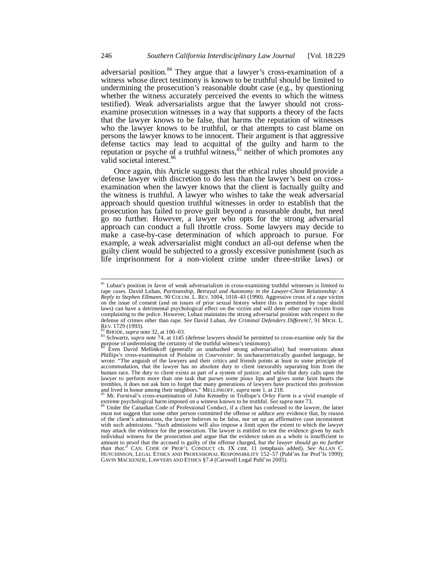adversarial position. $84$  They argue that a lawyer's cross-examination of a witness whose direct testimony is known to be truthful should be limited to undermining the prosecution's reasonable doubt case (e.g., by questioning whether the witness accurately perceived the events to which the witness testified). Weak adversarialists argue that the lawyer should not crossexamine prosecution witnesses in a way that supports a theory of the facts that the lawyer knows to be false, that harms the reputation of witnesses who the lawyer knows to be truthful, or that attempts to cast blame on persons the lawyer knows to be innocent. Their argument is that aggressive defense tactics may lead to acquittal of the guilty and harm to the reputation or psyche of a truthful witness, $85$  neither of which promotes any valid societal interest.<sup>86</sup>

Once again, this Article suggests that the ethical rules should provide a defense lawyer with discretion to do less than the lawyer's best on crossexamination when the lawyer knows that the client is factually guilty and the witness is truthful. A lawyer who wishes to take the weak adversarial approach should question truthful witnesses in order to establish that the prosecution has failed to prove guilt beyond a reasonable doubt, but need go no further. However, a lawyer who opts for the strong adversarial approach can conduct a full throttle cross. Some lawyers may decide to make a case-by-case determination of which approach to pursue. For example, a weak adversarialist might conduct an all-out defense when the guilty client would be subjected to a grossly excessive punishment (such as life imprisonment for a non-violent crime under three-strike laws) or

 $\overline{a}$ 

<sup>81</sup> Luban's position in favor of weak adversarialism in cross-examining truthful witnesses is limited to rape cases. David Luban, *Partisanship, Betrayal and Autonomy in the Lawyer-Client Relationship: A Reply to Stephen Ellmann*, 90 COLUM. L. REV. 1004, 1018–43 (1990). Aggressive cross of a rape victim on the issue of consent (and on issues of prior sexual history where this is permitted by rape shield laws) can have a detrimental psychological effect on the victim and will deter other rape victims from complaining to the police. However, Luban maintains the strong adversarial position with respect to the defense of crimes other than rape. *See* David Luban, *Are Criminal Defenders Different?*, 91 MICH. L.

<sup>82</sup> RHODE, *supra* note 32, at 100–03.<br><sup>83</sup> Schwartz, *supra* note 74, at 1145 (defense lawyers should be permitted to cross-examine only for the purpose of undermining the certainty of the truthful witness's testimony).

Even David Mellinkoff (generally an unabashed strong adversarialist) had reservations about Phillips's cross-examination of Piolaine in *Courvoisier*. In uncharacteristically guarded language, he wrote: "The anguish of the lawyers and their critics and friends points at least to some principle of accommodation, that the lawyer has no absolute duty to client inexorably separating him from the human race. The duty to client exists as part of a system of justice; and while that duty calls upon the lawyer to perform more than one task that purses some pious lips and gives some faint hearts the trembles, it does not ask him to forget that many generations of lawyers have practiced this profession and lived in honor among their neighbors." MELLINKOFF, *supra* note 1, at 218.

Mr. Furnival's cross-examination of John Kenneby in Trollope's *Orley Farm* is a vivid example of extreme psychological harm imposed on a witness known to be truthful. *See supra* note 73.<br><sup>86</sup> Under the Canadian Code of Professional Conduct, if a client has confessed to the lawyer, the latter

must not suggest that some other person committed the offense or adduce any evidence that, by reason of the client's admissions, the lawyer believes to be false, nor set up an affirmative case inconsistent with such admissions. "Such admissions will also impose a limit upon the extent to which the lawyer may attack the evidence for the prosecution. The lawyer is entitled to test the evidence given by each individual witness for the prosecution and argue that the evidence taken as a whole is insufficient to amount to proof that the accused is guilty of the offense charged, *but the lawyer should go no further than that*." CAN. CODE OF PROF'L CONDUCT ch. IX cmt. 11 (emphasis added). *See* ALLAN C. HUTCHINSON, LEGAL ETHICS AND PROFESSIONAL RESPONSIBILITY 152-57 (Publ'ns for Prof'ls 1999); GAVIN MACKENZIE, LAWYERS AND ETHICS §7.4 (Carswell Legal Publ'ns 2005).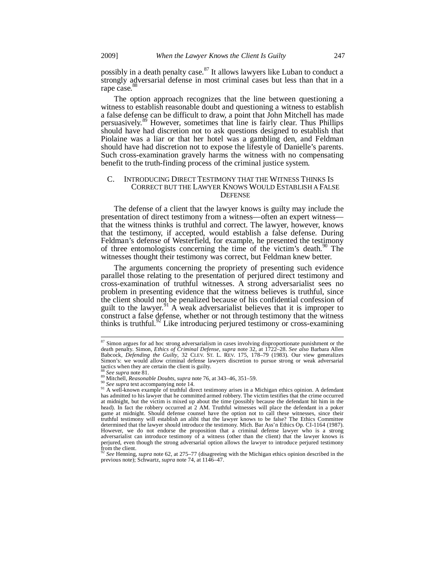possibly in a death penalty case. $87$  It allows lawyers like Luban to conduct a strongly adversarial defense in most criminal cases but less than that in a rape case.<sup>88</sup>

The option approach recognizes that the line between questioning a witness to establish reasonable doubt and questioning a witness to establish a false defense can be difficult to draw, a point that John Mitchell has made persuasively.89 However, sometimes that line is fairly clear. Thus Phillips should have had discretion not to ask questions designed to establish that Piolaine was a liar or that her hotel was a gambling den, and Feldman should have had discretion not to expose the lifestyle of Danielle's parents. Such cross-examination gravely harms the witness with no compensating benefit to the truth-finding process of the criminal justice system.

#### C. INTRODUCING DIRECT TESTIMONY THAT THE WITNESS THINKS IS CORRECT BUT THE LAWYER KNOWS WOULD ESTABLISH A FALSE **DEFENSE**

The defense of a client that the lawyer knows is guilty may include the presentation of direct testimony from a witness—often an expert witness that the witness thinks is truthful and correct. The lawyer, however, knows that the testimony, if accepted, would establish a false defense. During Feldman's defense of Westerfield, for example, he presented the testimony of three entomologists concerning the time of the victim's death.<sup>90</sup> The witnesses thought their testimony was correct, but Feldman knew better.

The arguments concerning the propriety of presenting such evidence parallel those relating to the presentation of perjured direct testimony and cross-examination of truthful witnesses. A strong adversarialist sees no problem in presenting evidence that the witness believes is truthful, since the client should not be penalized because of his confidential confession of guilt to the lawyer.<sup>91</sup> A weak adversarialist believes that it is improper to construct a false defense, whether or not through testimony that the witness thinks is truthful.<sup>92</sup> Like introducing perjured testimony or cross-examining

 $\overline{a}$ 

<sup>&</sup>lt;sup>87</sup> Simon argues for ad hoc strong adversarialism in cases involving disproportionate punishment or the death penalty. Simon, *Ethics of Criminal Defense*, *supra* note 32, at 1722–28. *See also* Barbara Allen Babcock, *Defending the Guilty*, 32 CLEV. ST. L. REV. 175, 178–79 (1983). Our view generalizes Simon's: we would allow criminal defense lawyers discretion to pursue strong or weak adversarial tactics when they are certain the client is guilty.<br><sup>88</sup> See supra note 81.<br><sup>89</sup> Mitchell, *Reasonable Doubts*, *supra* note 76, at 343–46, 351–59.

<sup>&</sup>lt;sup>90</sup> See supra text accompanying note 14.<br><sup>91</sup> A well-known example of truthful direct testimony arises in a Michigan ethics opinion. A defendant has admitted to his lawyer that he committed armed robbery. The victim testifies that the crime occurred at midnight, but the victim is mixed up about the time (possibly because the defendant hit him in the head). In fact the robbery occurred at 2 AM. Truthful witnesses will place the defendant in a poker game at midnight. Should defense counsel have the option not to call these witnesses, since their truthful testimony will establish an alibi that the lawyer knows to be false? The Ethics Committee determined that the lawyer should introduce the testimony. Mich. Bar Ass'n Ethics Op. CI-1164 (1987). However, we do not endorse the proposition that a criminal defense lawyer who is a strong adversarialist can introduce testimony of a witness (other than the client) that the lawyer knows is perjured, even though the strong adversarial option allows the lawyer to introduce perjured testimony from the client.

<sup>92</sup> *See* Henning, *supra* note 62, at 275–77 (disagreeing with the Michigan ethics opinion described in the previous note); Schwartz, *supra* note 74, at 1146–47.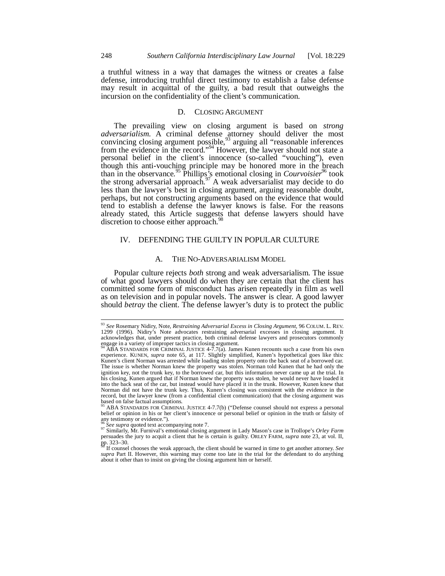a truthful witness in a way that damages the witness or creates a false defense, introducing truthful direct testimony to establish a false defense may result in acquittal of the guilty, a bad result that outweighs the incursion on the confidentiality of the client's communication.

#### D. CLOSING ARGUMENT

The prevailing view on closing argument is based on *strong adversarialism*. A criminal defense attorney should deliver the most convincing closing argument possible,  $93$  arguing all "reasonable inferences from the evidence in the record."<sup>94</sup> However, the lawyer should not state a personal belief in the client's innocence (so-called "vouching"), even though this anti-vouching principle may be honored more in the breach than in the observance.<sup>95</sup> Phillips's emotional closing in *Courvoisier*<sup>96</sup> took the strong adversarial approach.<sup>97</sup> A weak adversarialist may decide to do less than the lawyer's best in closing argument, arguing reasonable doubt, perhaps, but not constructing arguments based on the evidence that would tend to establish a defense the lawyer knows is false. For the reasons already stated, this Article suggests that defense lawyers should have discretion to choose either approach.<sup>98</sup>

# IV. DEFENDING THE GUILTY IN POPULAR CULTURE

# A. THE NO-ADVERSARIALISM MODEL

Popular culture rejects *both* strong and weak adversarialism. The issue of what good lawyers should do when they are certain that the client has committed some form of misconduct has arisen repeatedly in film as well as on television and in popular novels. The answer is clear. A good lawyer should *betray* the client. The defense lawyer's duty is to protect the public

<sup>93</sup> *See* Rosemary Nidiry, Note, *Restraining Adversarial Excess in Closing Argument*, 96 COLUM. L. REV. 1299 (1996). Nidiry's Note advocates restraining adversarial excesses in closing argument. It acknowledges that, under present practice, both criminal defense lawyers and prosecutors commonly engage in a variety of improper tactics in closing argument.

 $\overrightarrow{AB}$ A STANDARDS FOR CRIMINAL JUSTICE 4-7.7(a). James Kunen recounts such a case from his own experience. KUNEN, *supra* note 65, at 117. Slightly simplified, Kunen's hypothetical goes like this: Kunen's client Norman was arrested while loading stolen property onto the back seat of a borrowed car. The issue is whether Norman knew the property was stolen. Norman told Kunen that he had only the ignition key, not the trunk key, to the borrowed car, but this information never came up at the trial. In his closing, Kunen argued that if Norman knew the property was stolen, he would never have loaded it into the back seat of the car, but instead would have placed it in the trunk. However, Kunen knew that Norman did not have the trunk key. Thus, Kunen's closing was consistent with the evidence in the record, but the lawyer knew (from a confidential client communication) that the closing argument was based on false factual assumptions.

<sup>95</sup> ABA STANDARDS FOR CRIMINAL JUSTICE 4-7.7(b) ("Defense counsel should not express a personal belief or opinion in his or her client's innocence or personal belief or opinion in the truth or falsity of any testimony or evidence.").<br> $\frac{96}{2}$ See supra quoted text accompanying note 7.

<sup>96</sup> *See supra* quoted text accompanying note 7. 97 Similarly, Mr. Furnival's emotional closing argument in Lady Mason's case in Trollope's *Orley Farm* persuades the jury to acquit a client that he is certain is guilty. ORLEY FARM, *supra* note 23, at vol. II, pp. 323–30. 98 If counsel chooses the weak approach, the client should be warned in time to get another attorney. *See* 

*supra* Part II. However, this warning may come too late in the trial for the defendant to do anything about it other than to insist on giving the closing argument him or herself.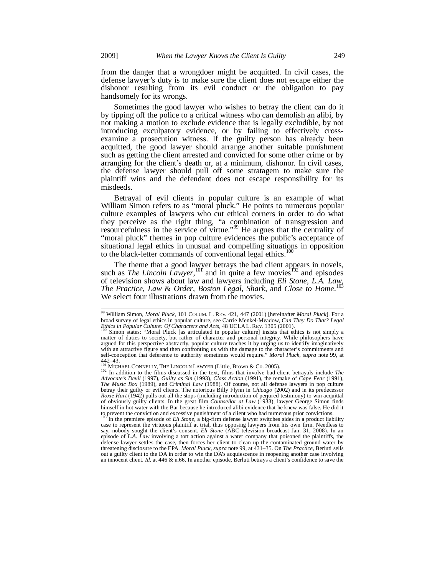from the danger that a wrongdoer might be acquitted. In civil cases, the defense lawyer's duty is to make sure the client does not escape either the dishonor resulting from its evil conduct or the obligation to pay handsomely for its wrongs.

Sometimes the good lawyer who wishes to betray the client can do it by tipping off the police to a critical witness who can demolish an alibi, by not making a motion to exclude evidence that is legally excludible, by not introducing exculpatory evidence, or by failing to effectively crossexamine a prosecution witness. If the guilty person has already been acquitted, the good lawyer should arrange another suitable punishment such as getting the client arrested and convicted for some other crime or by arranging for the client's death or, at a minimum, dishonor. In civil cases, the defense lawyer should pull off some stratagem to make sure the plaintiff wins and the defendant does not escape responsibility for its misdeeds.

Betrayal of evil clients in popular culture is an example of what William Simon refers to as "moral pluck." He points to numerous popular culture examples of lawyers who cut ethical corners in order to do what they perceive as the right thing, "a combination of transgression and resourcefulness in the service of virtue."<sup>99</sup> He argues that the centrality of "moral pluck" themes in pop culture evidences the public's acceptance of situational legal ethics in unusual and compelling situations in opposition to the black-letter commands of conventional legal ethics.<sup>10</sup>

The theme that a good lawyer betrays the bad client appears in novels, such as *The Lincoln Lawyer*,<sup>101</sup> and in quite a few movies<sup>102</sup> and episodes of television shows about law and lawyers including *Eli Stone*, *L.A. Law*, *The Practice*, *Law* & *Order*, *Boston Legal*, *Shark*, and *Close to Home*. 103 We select four illustrations drawn from the movies.

In the premiere episode of *Eli Stone*, a big-firm defense lawyer switches sides in a product liability case to represent the virtuous plaintiff at trial, thus opposing lawyers from his own firm. Needless to say, nobody sought the client's consent. *Eli Stone* (ABC television broadcast Jan. 31, 2008). In an episode of *L.A. Law* involving a tort action against a water company that poisoned the plaintiffs, the defense lawyer settles the case, then forces her client to clean up the contaminated ground water by threatening disclosure to the EPA. *Moral Pluck, supra* note 99, at 431–35. On *The Practice*, Berluti sells out a guilty client to the DA in order to win the DA's acquiescence in reopening another case involving an innocent client. *Id.* at 446 & n.66. In another episode, Berluti betrays a client's confidence to save the

l

<sup>99</sup> William Simon, *Moral Pluck*, 101 COLUM. L. REV. 421, 447 (2001) [hereinafter *Moral Pluck*]. For a broad survey of legal ethics in popular culture, see Carrie Menkel-Meadow, Can They Do That? Legal<br>Ethics in Popular Culture: Of Characters and Acts, 48 UCLAL. REV. 1305 (2001).<br><sup>100</sup> Simon states: "Moral Pluck [as articul

matter of duties to society, but rather of character and personal integrity. While philosophers have argued for this perspective abstractly, popular culture teaches it by urging us to identify imaginatively with an attractive figure and then confronting us with the damage to the character's commitments and self-conception that deference to authority sometimes would require." *Moral Pluck*, *supra* note 99, at 442–43.<br><sup>101</sup> MICHAEL CONNELLY, THE LINCOLN LAWYER (Little, Brown & Co. 2005).

<sup>&</sup>lt;sup>102</sup> In addition to the films discussed in the text, films that involve bad-client betrayals include *The* **Co.** 2005). *Advocate's Devil* (1997), *Guilty as Sin* (1993), *Class Action* (1991), the remake of *Cape Fear* (1991), *The Music Box* (1989), and *Criminal Law* (1988). Of course, not all defense lawyers in pop culture betray their guilty or evil clients. The notorious Billy Flynn in *Chicago* (2002) and in its predecessor *Roxie Hart* (1942) pulls out all the stops (including introduction of perjured testimony) to win acquittal of obviously guilty clients. In the great film *Counsellor at Law* (1933), lawyer George Simon finds himself in hot water with the Bar because he introduced alibi evidence that he knew was false. He did it to prevent the conviction and excessive punishment of a client who had numerous prior convictions.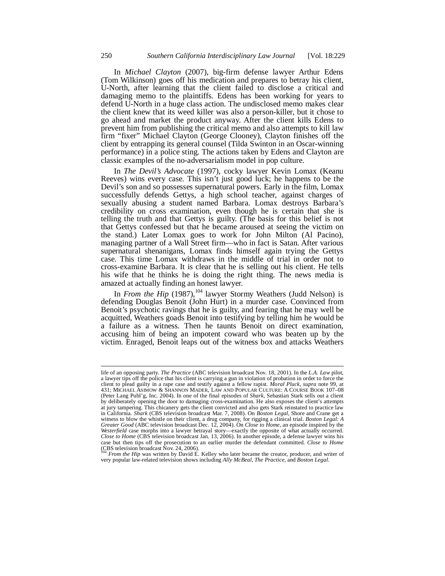In *Michael Clayton* (2007), big-firm defense lawyer Arthur Edens (Tom Wilkinson) goes off his medication and prepares to betray his client, U-North, after learning that the client failed to disclose a critical and damaging memo to the plaintiffs. Edens has been working for years to defend U-North in a huge class action. The undisclosed memo makes clear the client knew that its weed killer was also a person-killer, but it chose to go ahead and market the product anyway. After the client kills Edens to prevent him from publishing the critical memo and also attempts to kill law firm "fixer" Michael Clayton (George Clooney), Clayton finishes off the client by entrapping its general counsel (Tilda Swinton in an Oscar-winning performance) in a police sting. The actions taken by Edens and Clayton are classic examples of the no-adversarialism model in pop culture.

In *The Devil's Advocate* (1997), cocky lawyer Kevin Lomax (Keanu Reeves) wins every case. This isn't just good luck; he happens to be the Devil's son and so possesses supernatural powers. Early in the film, Lomax successfully defends Gettys, a high school teacher, against charges of sexually abusing a student named Barbara. Lomax destroys Barbara's credibility on cross examination, even though he is certain that she is telling the truth and that Gettys is guilty. (The basis for this belief is not that Gettys confessed but that he became aroused at seeing the victim on the stand.) Later Lomax goes to work for John Milton (Al Pacino), managing partner of a Wall Street firm—who in fact is Satan. After various supernatural shenanigans, Lomax finds himself again trying the Gettys case. This time Lomax withdraws in the middle of trial in order not to cross-examine Barbara. It is clear that he is selling out his client. He tells his wife that he thinks he is doing the right thing. The news media is amazed at actually finding an honest lawyer.

In *From the Hip* (1987),<sup>104</sup> lawyer Stormy Weathers (Judd Nelson) is defending Douglas Benoit (John Hurt) in a murder case. Convinced from Benoit's psychotic ravings that he is guilty, and fearing that he may well be acquitted, Weathers goads Benoit into testifying by telling him he would be a failure as a witness. Then he taunts Benoit on direct examination, accusing him of being an impotent coward who was beaten up by the victim. Enraged, Benoit leaps out of the witness box and attacks Weathers

life of an opposing party. *The Practice* (ABC television broadcast Nov. 18, 2001). In the *L.A. Law* pilot, a lawyer tips off the police that his client is carrying a gun in violation of probation in order to force the client to plead guilty in a rape case and testify against a fellow rapist. *Moral Pluck*, *supra* note 99, at 431; MICHAEL ASIMOW & SHANNON MADER, LAW AND POPULAR CULTURE: A COURSE BOOK 107–08 (Peter Lang Publ'g, Inc. 2004). In one of the final episodes of *Shark*, Sebastian Stark sells out a client by deliberately opening the door to damaging cross-examination. He also exposes the client's attempts at jury tampering. This chicanery gets the client convicted and also gets Stark reinstated to practice law in California. *Shark* (CBS television broadcast Mar. 7, 2008). On *Boston Legal,* Shore and Crane get a witness to blow the whistle on their client, a drug company, for rigging a clinical trial. *Boston Legal: A Greater Good* (ABC television broadcast Dec. 12, 2004). On *Close to Home*, an episode inspired by the *Westerfield* case morphs into a lawyer betrayal story—exactly the opposite of what actually occurred. *Close to Home* (CBS television broadcast Jan. 13, 2006). In another episode, a defense lawyer wins his case but then tips off the prosecution to an earlier murder the defendant committed. *Close to Home*

<sup>(</sup>CBS television broadcast Nov. 24, 2006). <sup>104</sup> *From the Hip* was written by David E. Kelley who later became the creator, producer, and writer of very popular law-related television shows including *Ally McBeal*, *The Practice*, and *Boston Legal*.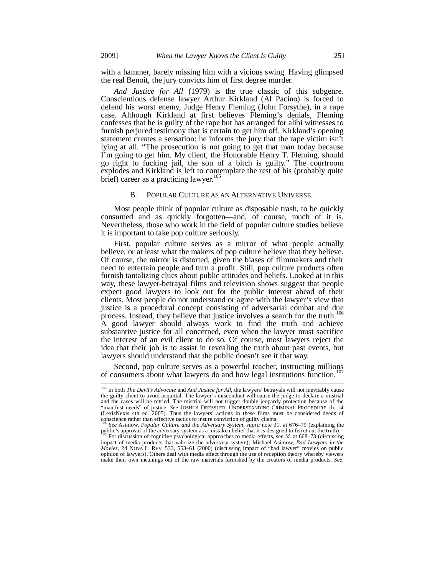with a hammer, barely missing him with a vicious swing. Having glimpsed the real Benoit, the jury convicts him of first degree murder.

*And Justice for All* (1979) is the true classic of this subgenre. Conscientious defense lawyer Arthur Kirkland (Al Pacino) is forced to defend his worst enemy, Judge Henry Fleming (John Forsythe), in a rape case. Although Kirkland at first believes Fleming's denials, Fleming confesses that he is guilty of the rape but has arranged for alibi witnesses to furnish perjured testimony that is certain to get him off. Kirkland's opening statement creates a sensation: he informs the jury that the rape victim isn't lying at all. "The prosecution is not going to get that man today because I'm going to get him. My client, the Honorable Henry T. Fleming, should go right to fucking jail, the son of a bitch is guilty." The courtroom explodes and Kirkland is left to contemplate the rest of his (probably quite brief) career as a practicing lawyer.<sup>105</sup>

#### B. POPULAR CULTURE AS AN ALTERNATIVE UNIVERSE

Most people think of popular culture as disposable trash, to be quickly consumed and as quickly forgotten—and, of course, much of it is. Nevertheless, those who work in the field of popular culture studies believe it is important to take pop culture seriously.

First, popular culture serves as a mirror of what people actually believe, or at least what the makers of pop culture believe that they believe. Of course, the mirror is distorted, given the biases of filmmakers and their need to entertain people and turn a profit. Still, pop culture products often furnish tantalizing clues about public attitudes and beliefs. Looked at in this way, these lawyer-betrayal films and television shows suggest that people expect good lawyers to look out for the public interest ahead of their clients. Most people do not understand or agree with the lawyer's view that justice is a procedural concept consisting of adversarial combat and due process. Instead, they believe that justice involves a search for the truth.<sup>106</sup> A good lawyer should always work to find the truth and achieve substantive justice for all concerned, even when the lawyer must sacrifice the interest of an evil client to do so. Of course, most lawyers reject the idea that their job is to assist in revealing the truth about past events, but lawyers should understand that the public doesn't see it that way.

Second, pop culture serves as a powerful teacher, instructing millions of consumers about what lawyers do and how legal institutions function.<sup>107</sup>

<sup>105</sup> In both *The Devil's Advocate* and *And Justice for All*, the lawyers' betrayals will not inevitably cause the guilty client to avoid acquittal. The lawyer's misconduct will cause the judge to declare a mistrial and the cases will be retried. The mistrial will not trigger double jeopardy protection because of the "manifest needs" of justice. *See* JOSHUA DRESSLER, UNDERSTANDING CRIMINAL PROCEDURE ch. 14 (LexisNexis 4th ed. 2005). Thus the lawyers' actions in these films must be considered deeds of conscience rather than effective tactics to insure conviction of guilty clients.

<sup>&</sup>lt;sup>106</sup> See Asimow, *Popular Culture and the Adversary System*, *supra* note 31, at 676–79 (explaining the public's approval of the adversary system as a mistaken belief that it is designed to ferret out the truth).<br><sup>107</sup> F impact of media products that valorize the adversary system); Michael Asimow, *Bad Lawyers in the Movies*, 24 NOVA L. REV. 533, 553–61 (2000) (discussing impact of "bad lawyer" movies on public opinion of lawyers). Others deal with media effect through the use of reception theory whereby viewers make their own meanings out of the raw materials furnished by the creators of media products. *See,*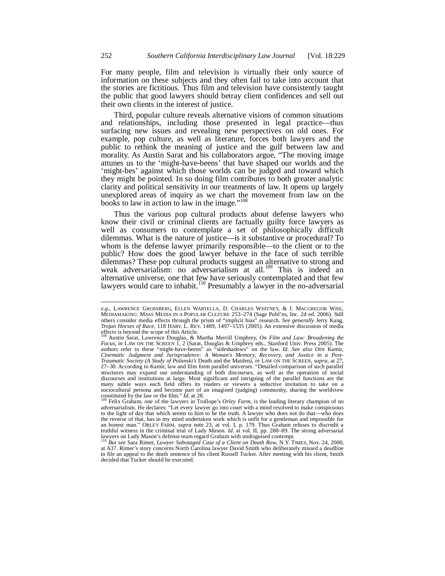For many people, film and television is virtually their only source of information on these subjects and they often fail to take into account that the stories are fictitious. Thus film and television have consistently taught the public that good lawyers should betray client confidences and sell out their own clients in the interest of justice.

Third, popular culture reveals alternative visions of common situations and relationships, including those presented in legal practice—thus surfacing new issues and revealing new perspectives on old ones. For example, pop culture, as well as literature, forces both lawyers and the public to rethink the meaning of justice and the gulf between law and morality. As Austin Sarat and his collaborators argue, "The moving image attunes us to the 'might-have-beens' that have shaped our worlds and the 'might-bes' against which those worlds can be judged and toward which they might be pointed. In so doing film contributes to both greater analytic clarity and political sensitivity in our treatments of law. It opens up largely unexplored areas of inquiry as we chart the movement from law on the books to law in action to law in the image."<sup>108</sup>

Thus the various pop cultural products about defense lawyers who know their civil or criminal clients are factually guilty force lawyers as well as consumers to contemplate a set of philosophically difficult dilemmas. What is the nature of justice—is it substantive or procedural? To whom is the defense lawyer primarily responsible—to the client or to the public? How does the good lawyer behave in the face of such terrible dilemmas? These pop cultural products suggest an alternative to strong and weak adversarialism: no adversarialism at all.<sup>109</sup> This is indeed an alternative universe, one that few have seriously contemplated and that few lawyers would care to inhabit.<sup>110</sup> Presumably a lawyer in the no-adversarial

*e.g.*, LAWRENCE GROSSBERG, ELLEN WARTELLA, D. CHARLES WHITNEY, & J. MACGREGOR WISE, MEDIAMAKING: MASS MEDIA IN A POPULAR CULTURE 253–274 (Sage Publ'ns, Inc. 2d ed. 2006). Still others consider media effects through the prism of "implicit bias" research. *See generally* Jerry Kang, *Trojan Horses of Race*, 118 HARV. L. REV. 1489, 1497–1535 (2005). An extensive discussion of media effects is beyond the scope of this Article.

<sup>&</sup>lt;sup>108</sup> Austin Sarat, Lawrence Douglas, & Martha Merrill Umphrey, *On Film and Law: Broadening the Focus*, *in* LAW ON THE SCREEN 1, 2 (Sarat, Douglas & Umphrey eds., Stanford Univ. Press 2005). The authors refer to these "might-have-beens" as "sideshadows" on the law. *Id. See also* Orit Kamir, *Cinematic Judgment and Jurisprudence: A Woman's Memory, Recovery, and Justice in a Post-Traumatic Society (A Study of Polanski's* Death and the Maiden*)*, *in* LAW ON THE SCREEN, *supra*, at 27, 27–30. According to Kamir, law and film form parallel universes. "Detailed comparison of such parallel structures may expand our understanding of both discourses, as well as the operation of social discourses and institutions at large. Most significant and intriguing of the parallel functions are the many subtle ways each field offers its readers or viewers a seductive invitation to take on a sociocultural persona and become part of an imagined (judging) community, sharing the worldview<br>constituted by the law or the film." *Id.* at 28.<br><sup>109</sup> Felix Graham, one of the lawyers in Trollope's *Orley Farm*, is the le

adversarialism. He declares: "Let every lawyer go into court with a mind resolved to make conspicuous to the light of day that which seems to him to be the truth. A lawyer who does not do that—who does the reverse of that, has in my mind undertaken work which is unfit for a gentleman and impossible for an honest man." ORLEY FARM, *supra* note 23, at vol. I, p. 179. Thus Graham refuses to discredit a truthful witness in the criminal trial of Lady Mason. *Id.* at vol. II, pp. 288–89. The strong adversarial lawyers on Lady Mason's defense team regard Graham with undisguised contempt.

<sup>&</sup>lt;sup>110</sup> But see Sara Rimer, *Lawyer Sabotaged Case of a Client on Death Row*, N.Y. TIMES, Nov. 24, 2000, at A37. Rimer's story concerns North Carolina lawyer David Smith who deliberately missed a deadline to file an appeal to the death sentence of his client Russell Tucker. After meeting with his client, Smith decided that Tucker should be executed.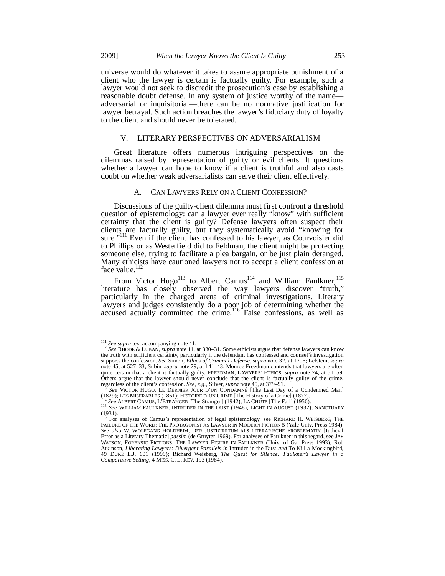universe would do whatever it takes to assure appropriate punishment of a client who the lawyer is certain is factually guilty. For example, such a lawyer would not seek to discredit the prosecution's case by establishing a reasonable doubt defense. In any system of justice worthy of the name adversarial or inquisitorial—there can be no normative justification for lawyer betrayal. Such action breaches the lawyer's fiduciary duty of loyalty to the client and should never be tolerated.

#### V. LITERARY PERSPECTIVES ON ADVERSARIALISM

Great literature offers numerous intriguing perspectives on the dilemmas raised by representation of guilty or evil clients. It questions whether a lawyer can hope to know if a client is truthful and also casts doubt on whether weak adversarialists can serve their client effectively.

## A. CAN LAWYERS RELY ON A CLIENT CONFESSION?

Discussions of the guilty-client dilemma must first confront a threshold question of epistemology: can a lawyer ever really "know" with sufficient certainty that the client is guilty? Defense lawyers often suspect their clients are factually guilty, but they systematically avoid "knowing for sure."<sup>111</sup> Even if the client has confessed to his lawyer, as Courvoisier did to Phillips or as Westerfield did to Feldman, the client might be protecting someone else, trying to facilitate a plea bargain, or be just plain deranged. Many ethicists have cautioned lawyers not to accept a client confession at face value.

From Victor Hugo<sup>113</sup> to Albert Camus<sup>114</sup> and William Faulkner,<sup>115</sup> literature has closely observed the way lawyers discover "truth," particularly in the charged arena of criminal investigations. Literary lawyers and judges consistently do a poor job of determining whether the accused actually committed the crime.<sup>116</sup> False confessions, as well as

<sup>&</sup>lt;sup>111</sup> See supra text accompanying note 41.

<sup>&</sup>lt;sup>112</sup> See RHODE & LUBAN, *supra* note 11, at 330–31. Some ethicists argue that defense lawyers can know the truth with sufficient certainty, particularly if the defendant has confessed and counsel's investigation supports the confession. *See* Simon, *Ethics of Criminal Defense*, *supra* note 32, at 1706; Lefstein, *supra*  note 45, at 527–33; Subin, *supra* note 79, at 141–43. Monroe Freedman contends that lawyers are often quite certain that a client is factually guilty. FREEDMAN, LAWYERS' ETHICS, *supra* note 74, at 51–59. Others argue that the lawyer should never conclude that the client is factually guilty of the crime,

regardless of the client's confession. *See, e.g.*, Silver, *supra* note 45, at 379–91.<br><sup>113</sup> *See* VICTOR HUGO, LE DERNIER JOUR D'UN CONDAMNÉ [The Last Day of a Condemned Man] (1829); LES MISERABLES (1861); HISTOIRE D'UN

<sup>115</sup> See ALBERT CAMUS, L'ETRANGER [The Stranger] (1942); LA CHUTE [The Fall] (1956).<br><sup>115</sup> See ALBERT CAMUS, L'ETRANGER [The Stranger] (1942); LA CHUTE [The Fall] (1956).<br><sup>115</sup> See WILLIAM FAULKNER, INTRUDER IN THE DUST (19

<sup>(1931).&</sup>lt;br><sup>116</sup> For analyses of Camus's representation of legal epistemology, see RICHARD H. WEISBERG, THE

FAILURE OF THE WORD: THE PROTAGONIST AS LAWYER IN MODERN FICTION 5 (Yale Univ. Press 1984). *See also* W. WOLFGANG HOLDHEIM, DER JUSTIZIRRTUM ALS LITERARISCHE PROBLEMATIK [Judicial Error as a Literary Thematic] *passim* (de Gruyter 1969). For analyses of Faulkner in this regard, see JAY WATSON, FORENSIC FICTIONS: THE LAWYER FIGURE IN FAULKNER (Univ. of Ga. Press 1993); Rob Atkinson, *Liberating Lawyers: Divergent Parallels in* Intruder in the Dust *and* To Kill a Mockingbird, 49 DUKE L.J. 601 (1999); Richard Weisberg, *The Quest for Silence: Faulkner's Lawyer in a Comparative Setting*, 4 MISS. C. L. REV. 193 (1984).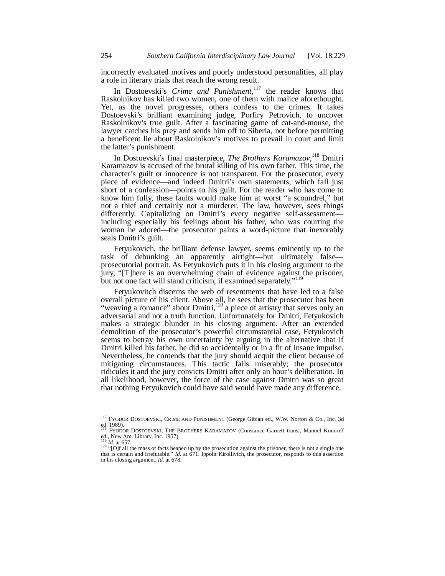incorrectly evaluated motives and poorly understood personalities, all play a role in literary trials that reach the wrong result.

In Dostoevski's *Crime and Punishment*, 117 the reader knows that Raskolnikov has killed two women, one of them with malice aforethought. Yet, as the novel progresses, others confess to the crimes. It takes Dostoevski's brilliant examining judge, Porfiry Petrovich, to uncover Raskolnikov's true guilt. After a fascinating game of cat-and-mouse, the lawyer catches his prey and sends him off to Siberia, not before permitting a beneficent lie about Raskolnikov's motives to prevail in court and limit the latter's punishment.

In Dostoevski's final masterpiece, *The Brothers Karamazov*, 118 Dmitri Karamazov is accused of the brutal killing of his own father. This time, the character's guilt or innocence is not transparent. For the prosecutor, every piece of evidence—and indeed Dmitri's own statements, which fall just short of a confession—points to his guilt. For the reader who has come to know him fully, these faults would make him at worst "a scoundrel," but not a thief and certainly not a murderer. The law, however, sees things differently. Capitalizing on Dmitri's every negative self-assessment including especially his feelings about his father, who was courting the woman he adored—the prosecutor paints a word-picture that inexorably seals Dmitri's guilt.

Fetyukovich, the brilliant defense lawyer, seems eminently up to the task of debunking an apparently airtight—but ultimately false prosecutorial portrait. As Fetyukovich puts it in his closing argument to the jury, "[T]here is an overwhelming chain of evidence against the prisoner, but not one fact will stand criticism, if examined separately."<sup>119</sup>

Fetyukovitch discerns the web of resentments that have led to a false overall picture of his client. Above all, he sees that the prosecutor has been "weaving a romance" about Dmitri,<sup>120</sup> a piece of artistry that serves only an adversarial and not a truth function. Unfortunately for Dmitri, Fetyukovich makes a strategic blunder in his closing argument. After an extended demolition of the prosecutor's powerful circumstantial case, Fetyukovich seems to betray his own uncertainty by arguing in the alternative that if Dmitri killed his father, he did so accidentally or in a fit of insane impulse. Nevertheless, he contends that the jury should acquit the client because of mitigating circumstances*.* This tactic fails miserably; the prosecutor ridicules it and the jury convicts Dmitri after only an hour's deliberation. In all likelihood, however, the force of the case against Dmitri was so great that nothing Fetyukovich could have said would have made any difference.

į

<sup>&</sup>lt;sup>117</sup> FYODOR DOSTOEVSKI, CRIME AND PUNISHMENT (George Gibian ed., W.W. Norton & Co., Inc. 3d ed. 1989).<br><sup>118</sup> FYODOR DOSTOEVSKI, THE BROTHERS KARAMAZOV (Constance Garnett trans., Manuel Komroff

ed., New Am. Library, Inc. 1957).

 $119 \overline{10}$  *Id.* at 657. <sup>120</sup> "[O]f all the mass of facts heaped up by the prosecution against the prisoner, there is not a single one that is certain and irrefutable." *Id.* at 671. Ippolit Kirollivich, the prosecutor, responds to this assertion in his closing argument. *Id.* at 678.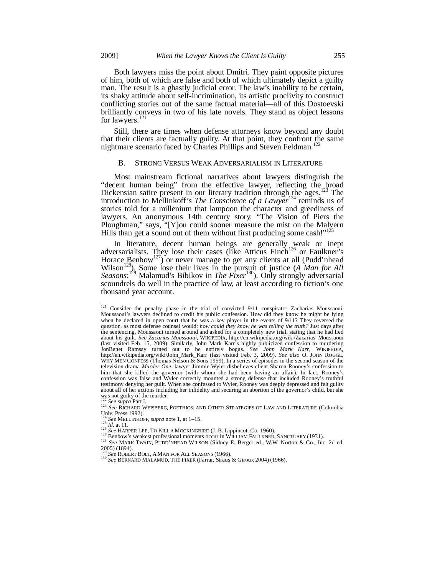Both lawyers miss the point about Dmitri. They paint opposite pictures of him, both of which are false and both of which ultimately depict a guilty man. The result is a ghastly judicial error. The law's inability to be certain, its shaky attitude about self-incrimination, its artistic proclivity to construct conflicting stories out of the same factual material—all of this Dostoevski brilliantly conveys in two of his late novels. They stand as object lessons for lawyers.<sup>121</sup>

Still, there are times when defense attorneys know beyond any doubt that their clients are factually guilty. At that point, they confront the same nightmare scenario faced by Charles Phillips and Steven Feldman.<sup>1</sup>

### B. STRONG VERSUS WEAK ADVERSARIALISM IN LITERATURE

Most mainstream fictional narratives about lawyers distinguish the "decent human being" from the effective lawyer, reflecting the broad Dickensian satire present in our literary tradition through the ages.<sup>123</sup> The introduction to Mellinkoff's *The Conscience of a Lawyer*<sup>124</sup> reminds us of stories told for a millenium that lampoon the character and greediness of lawyers. An anonymous 14th century story, "The Vision of Piers the Ploughman," says, "[Y]ou could sooner measure the mist on the Malvern Hills than get a sound out of them without first producing some cash!"<sup>125</sup>

In literature, decent human beings are generally weak or inept adversarialists. They lose their cases (like Atticus Finch<sup>126</sup> or Faulkner's Horace Benbow<sup>127</sup>) or never manage to get any clients at all (Pudd'nhead Wilson<sup>128</sup>). Some lose their lives in the pursuit of justice (*A Man for All Seasons*; 129 Malamud's Bibikov in *The Fixer*130). Only strongly adversarial scoundrels do well in the practice of law, at least according to fiction's one thousand year account.

 $121$  Consider the penalty phase in the trial of convicted  $9/11$  conspirator Zacharias Moussaoui. Moussaoui's lawyers declined to credit his public confession. How did they know he might be lying when he declared in open court that he was a key player in the events of 9/11? They reversed the question, as most defense counsel would: *how could they know he was telling the truth?* Just days after the sentencing, Moussaoui turned around and asked for a completely new trial, stating that he had lied about his guilt. *See Zacarias Moussaoui*, WIKIPEDIA*,* http://en.wikipedia.org/wiki/Zacarias\_Moussaoui (last visited Feb. 15, 2009). Similarly, John Mark Karr's highly publicized confession to murdering JonBenet Ramsay turned out to be entirely bogus. *See John Mark Karr*, WIKIPEDIA, http://en.wikipedia.org/wiki/John\_Mark\_Karr (last visited Feb. 3, 2009). *See also* O. JOHN ROGGE, WHY MEN CONFESS (Thomas Nelson  $\&$  Sons 1959). In a series of episodes in the second season of the television drama *Murder One*, lawyer Jimmie Wyler disbelieves client Sharon Rooney's confession to him that she killed the governor (with whom she had been having an affair). In fact, Rooney's confession was false and Wyler correctly mounted a strong defense that included Rooney's truthful testimony denying her guilt. When she confessed to Wyler, Rooney was deeply depressed and felt guilty about all of her actions including her infidelity and securing an abortion of the governor's child, but she was not guilty of the murder.<br> $^{122}$  See supra Part I.

<sup>123</sup> *See RICHARD WEISBERG, POETHICS: AND OTHER STRATEGIES OF LAW AND LITERATURE* (Columbia Univ. Press 1992).<br><sup>124</sup> *See MELLINKOFF, supra* note 1, at 1–15.<br><sup>125</sup> *Id.* at 11.<br><sup>126</sup> *See HARPER LEE, TO KILLA MOCKINGBIRD* (J. B. Lippincott Co. 1960).

<sup>127</sup> Benbow's weakest professional moments occur in WILLIAM FAULKNER, SANCTUARY (1931).<br><sup>127</sup> Benbow's weakest professional moments occur in WILLIAM FAULKNER, SANCTUARY (1931).<br><sup>128</sup> See MARK TWAIN, PUDD'NHEAD WILSON (Sidne 2005) (1894).<br><sup>129</sup> See ROBERT BOLT, A MAN FOR ALL SEASONS (1966).

<sup>&</sup>lt;sup>130</sup> See BERNARD MALAMUD, THE FIXER (Farrar, Straus & Giroux 2004) (1966).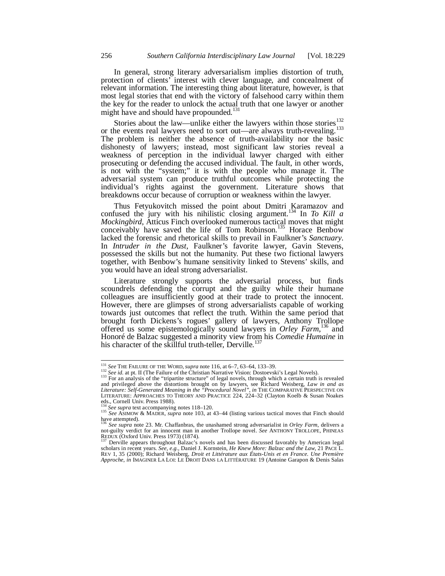In general, strong literary adversarialism implies distortion of truth, protection of clients' interest with clever language, and concealment of relevant information. The interesting thing about literature, however, is that most legal stories that end with the victory of falsehood carry within them the key for the reader to unlock the actual truth that one lawyer or another might have and should have propounded.<sup>131</sup>

Stories about the law—unlike either the lawyers within those stories $^{132}$ or the events real lawyers need to sort out—are always truth-revealing.<sup>133</sup> The problem is neither the absence of truth-availability nor the basic dishonesty of lawyers; instead, most significant law stories reveal a weakness of perception in the individual lawyer charged with either prosecuting or defending the accused individual. The fault, in other words, is not with the "system;" it is with the people who manage it. The adversarial system can produce truthful outcomes while protecting the individual's rights against the government. Literature shows that breakdowns occur because of corruption or weakness within the lawyer.

Thus Fetyukovitch missed the point about Dmitri Karamazov and confused the jury with his nihilistic closing argument.<sup>134</sup> In *To Kill a Mockingbird*, Atticus Finch overlooked numerous tactical moves that might conceivably have saved the life of Tom Robinson.<sup>135</sup> Horace Benbow lacked the forensic and rhetorical skills to prevail in Faulkner's *Sanctuary*. In *Intruder in the Dust*, Faulkner's favorite lawyer, Gavin Stevens, possessed the skills but not the humanity. Put these two fictional lawyers together, with Benbow's humane sensitivity linked to Stevens' skills, and you would have an ideal strong adversarialist.

Literature strongly supports the adversarial process, but finds scoundrels defending the corrupt and the guilty while their humane colleagues are insufficiently good at their trade to protect the innocent. However, there are glimpses of strong adversarialists capable of working towards just outcomes that reflect the truth. Within the same period that brought forth Dickens's rogues' gallery of lawyers, Anthony Trollope offered us some epistemologically sound lawyers in *Orley Farm*, 136 and Honoré de Balzac suggested a minority view from his *Comedie Humaine* in his character of the skillful truth-teller, Derville.<sup>137</sup>

į

<sup>&</sup>lt;sup>131</sup> See THE FAILURE OF THE WORD, *supra* note 116, at 6–7, 63–64, 133–39.<br><sup>132</sup> See id. at pt. II (The Failure of the Christian Narrative Vision: Dostoevski's Legal Novels).<br><sup>133</sup> For an analysis of the "tripartite stru

and privileged above the distortions brought on by lawyers, see Richard Weisberg, *Law in and as Literature: Self-Generated Meaning in the "Procedural Novel"*, *in* THE COMPARATIVE PERSPECTIVE ON LITERATURE: APPROACHES TO THEORY AND PRACTICE 224, 224–32 (Clayton Koelb & Susan Noakes eds., Cornell Univ. Press 1988).<br>
<sup>134</sup> See supra text accompanying notes 118–120.

<sup>134</sup> *See supra* text accompanying notes 118–120. 135 *See* ASIMOW & MADER, *supra* note 103, at 43–44 (listing various tactical moves that Finch should have attempted). <sup>136</sup> *See supra* note 23. Mr. Chaffanbras, the unashamed strong adversarialist in *Orley Farm*, delivers a

not-guilty verdict for an innocent man in another Trollope novel. *See* ANTHONY TROLLOPE, PHINEAS REDUX (Oxford Univ. Press 1973) (1874).

Derville appears throughout Balzac's novels and has been discussed favorably by American legal scholars in recent years. *See, e.g.*, Daniel J. Kornstein, *He Knew More: Balzac and the Law*, 21 PACE L. REV 1, 35 (2000); Richard Weisberg, *Droit et Littérature aux États-Unis et en France. Une Première Approche*, *in* IMAGINER LA LOI: LE DROIT DANS LA LITTÉRATURE 19 (Antoine Garapon & Denis Salas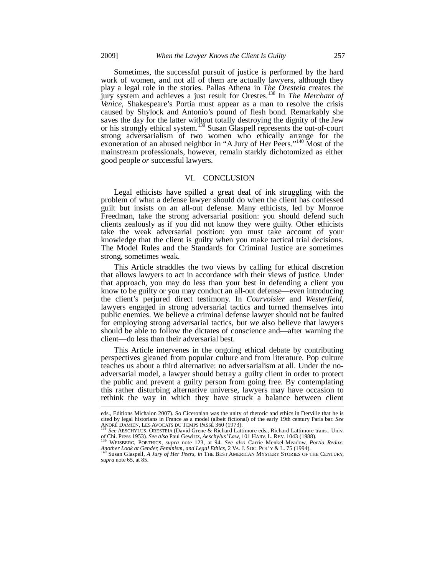Sometimes, the successful pursuit of justice is performed by the hard work of women, and not all of them are actually lawyers, although they play a legal role in the stories. Pallas Athena in *The Oresteia* creates the jury system and achieves a just result for Orestes.138 In *The Merchant of Venice*, Shakespeare's Portia must appear as a man to resolve the crisis caused by Shylock and Antonio's pound of flesh bond. Remarkably she saves the day for the latter without totally destroying the dignity of the Jew or his strongly ethical system.<sup>139</sup> Susan Glaspell represents the out-of-court strong adversarialism of two women who ethically arrange for the exoneration of an abused neighbor in "A Jury of Her Peers."<sup>140</sup> Most of the mainstream professionals, however, remain starkly dichotomized as either good people *or* successful lawyers.

#### VI. CONCLUSION

Legal ethicists have spilled a great deal of ink struggling with the problem of what a defense lawyer should do when the client has confessed guilt but insists on an all-out defense. Many ethicists, led by Monroe Freedman, take the strong adversarial position: you should defend such clients zealously as if you did not know they were guilty. Other ethicists take the weak adversarial position: you must take account of your knowledge that the client is guilty when you make tactical trial decisions. The Model Rules and the Standards for Criminal Justice are sometimes strong, sometimes weak.

This Article straddles the two views by calling for ethical discretion that allows lawyers to act in accordance with their views of justice. Under that approach, you may do less than your best in defending a client you know to be guilty or you may conduct an all-out defense—even introducing the client's perjured direct testimony. In *Courvoisier* and *Westerfield,*  lawyers engaged in strong adversarial tactics and turned themselves into public enemies. We believe a criminal defense lawyer should not be faulted for employing strong adversarial tactics, but we also believe that lawyers should be able to follow the dictates of conscience and—after warning the client—do less than their adversarial best.

This Article intervenes in the ongoing ethical debate by contributing perspectives gleaned from popular culture and from literature. Pop culture teaches us about a third alternative: no adversarialism at all. Under the noadversarial model, a lawyer should betray a guilty client in order to protect the public and prevent a guilty person from going free. By contemplating this rather disturbing alternative universe, lawyers may have occasion to rethink the way in which they have struck a balance between client

eds., Editions Michalon 2007). So Ciceronian was the unity of rhetoric and ethics in Derville that he is cited by legal historians in France as a model (albeit fictional) of the early 19th century Paris bar. *See*

<sup>&</sup>lt;sup>138</sup> See AESCHYLUS, ORESTEIA (David Grene & Richard Lattimore eds., Richard Lattimore trans., Univ. of Chi. Press 1953). See also Paul Gewirtz, *Aeschylus' Law*, 101 HARV. L. REV. 1043 (1988). of Chi. Press 1953). *See also* Paul Gewirtz, *Aeschylus' Law*, 101 HARV. L. REV. 1043 (1988). 139 WEISBERG, POETHICS, *supra* note 123, at 94. *See also* Carrie Menkel-Meadow, *Portia Redux:* 

*Another Look at Gender, Feminism, and Legal Ethics*, 2 VA. J. SOC. POL'Y & L. 75 (1994). 140 Susan Glaspell, *A Jury of Her Peers*, *in* THE BEST AMERICAN MYSTERY STORIES OF THE CENTURY,

*supra* note 65, at 85.